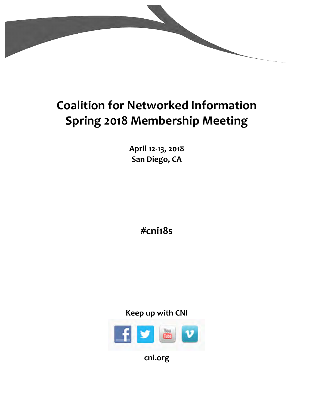

# **Coalition for Networked Information Spring 2018 Membership Meeting**

**April 12-13, 2018 San Diego, CA** 

**#cni18s**





**cni.org**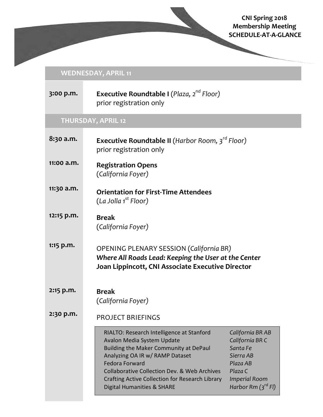# **CNI Spring 2018 Membership Meeting SCHEDULE-AT-A-GLANCE**

# **WEDNESDAY, APRIL 11**

| 3:00 p.m.                 | <b>Executive Roundtable I</b> (Plaza, $2^{nd}$ Floor)<br>prior registration only                                                                                                                                                                                                                                                     |                                                                                                                                        |  |  |  |  |
|---------------------------|--------------------------------------------------------------------------------------------------------------------------------------------------------------------------------------------------------------------------------------------------------------------------------------------------------------------------------------|----------------------------------------------------------------------------------------------------------------------------------------|--|--|--|--|
| <b>THURSDAY, APRIL 12</b> |                                                                                                                                                                                                                                                                                                                                      |                                                                                                                                        |  |  |  |  |
| 8:30 a.m.                 | <b>Executive Roundtable II</b> (Harbor Room, $3^{ra}$ Floor)<br>prior registration only                                                                                                                                                                                                                                              |                                                                                                                                        |  |  |  |  |
| 11:00 a.m.                | <b>Registration Opens</b><br>(California Foyer)                                                                                                                                                                                                                                                                                      |                                                                                                                                        |  |  |  |  |
| 11:30 a.m.                | <b>Orientation for First-Time Attendees</b><br>(La Jolla 1 <sup>st</sup> Floor)                                                                                                                                                                                                                                                      |                                                                                                                                        |  |  |  |  |
| 12:15 p.m.                | <b>Break</b><br>(California Foyer)                                                                                                                                                                                                                                                                                                   |                                                                                                                                        |  |  |  |  |
| $1:15$ p.m.               | <b>OPENING PLENARY SESSION (California BR)</b><br>Where All Roads Lead: Keeping the User at the Center<br>Joan Lippincott, CNI Associate Executive Director                                                                                                                                                                          |                                                                                                                                        |  |  |  |  |
| 2:15 p.m.                 | <b>Break</b><br>(California Foyer)                                                                                                                                                                                                                                                                                                   |                                                                                                                                        |  |  |  |  |
| 2:30 p.m.                 | <b>PROJECT BRIEFINGS</b>                                                                                                                                                                                                                                                                                                             |                                                                                                                                        |  |  |  |  |
|                           | RIALTO: Research Intelligence at Stanford<br>Avalon Media System Update<br>Building the Maker Community at DePaul<br>Analyzing OA IR w/ RAMP Dataset<br><b>Fedora Forward</b><br><b>Collaborative Collection Dev. &amp; Web Archives</b><br>Crafting Active Collection for Research Library<br><b>Digital Humanities &amp; SHARE</b> | California BR AB<br>California BR C<br>Santa Fe<br>Sierra AB<br>Plaza AB<br>Plaza C<br><b>Imperial Room</b><br>Harbor Rm $(3^{rd}$ FI) |  |  |  |  |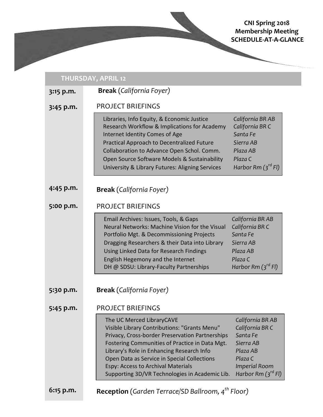# **CNI Spring 2018 Membership Meeting SCHEDULE-AT-A-GLANCE**

| <b>THURSDAY, APRIL 12</b> |                                                                                                                                                                                                                                                                                                                                                                                                                                                                                                              |  |  |  |
|---------------------------|--------------------------------------------------------------------------------------------------------------------------------------------------------------------------------------------------------------------------------------------------------------------------------------------------------------------------------------------------------------------------------------------------------------------------------------------------------------------------------------------------------------|--|--|--|
| $3:15$ p.m.               | <b>Break</b> (California Foyer)                                                                                                                                                                                                                                                                                                                                                                                                                                                                              |  |  |  |
| $3:45$ p.m.               | <b>PROJECT BRIEFINGS</b>                                                                                                                                                                                                                                                                                                                                                                                                                                                                                     |  |  |  |
|                           | California BR AB<br>Libraries, Info Equity, & Economic Justice<br>California BR C<br>Research Workflow & Implications for Academy<br>Santa Fe<br>Internet Identity Comes of Age<br>Sierra AB<br>Practical Approach to Decentralized Future<br>Collaboration to Advance Open Schol. Comm.<br>Plaza AB<br>Plaza C<br>Open Source Software Models & Sustainability<br>Harbor Rm $(3^{rd}$ FI)<br>University & Library Futures: Aligning Services                                                                |  |  |  |
| 4:45 p.m.                 | <b>Break</b> (California Foyer)                                                                                                                                                                                                                                                                                                                                                                                                                                                                              |  |  |  |
| 5:00 p.m.                 | <b>PROJECT BRIEFINGS</b>                                                                                                                                                                                                                                                                                                                                                                                                                                                                                     |  |  |  |
|                           | Email Archives: Issues, Tools, & Gaps<br>California BR AB<br>Neural Networks: Machine Vision for the Visual<br>California BR C<br>Santa Fe<br>Portfolio Mgt. & Decommissioning Projects<br>Dragging Researchers & their Data into Library<br>Sierra AB<br>Using Linked Data for Research Findings<br>Plaza AB<br>Plaza C<br>English Hegemony and the Internet<br>Harbor Rm $(3^{rd}$ FI)<br>DH @ SDSU: Library-Faculty Partnerships                                                                          |  |  |  |
| 5:30 p.m.                 | <b>Break</b> (California Foyer)                                                                                                                                                                                                                                                                                                                                                                                                                                                                              |  |  |  |
| 5:45 p.m.                 | <b>PROJECT BRIEFINGS</b>                                                                                                                                                                                                                                                                                                                                                                                                                                                                                     |  |  |  |
|                           | The UC Merced LibraryCAVE<br>California BR AB<br>Visible Library Contributions: "Grants Menu"<br>California BR C<br>Privacy, Cross-border Preservation Partnerships<br>Santa Fe<br>Fostering Communities of Practice in Data Mgt.<br>Sierra AB<br>Library's Role in Enhancing Research Info<br>Plaza AB<br>Plaza C<br>Open Data as Service in Special Collections<br>Espy: Access to Archival Materials<br><b>Imperial Room</b><br>Harbor Rm $(3^{rd}$ FI)<br>Supporting 3D/VR Technologies in Academic Lib. |  |  |  |
| $6:15$ p.m.               | <b>Reception</b> (Garden Terrace/SD Ballroom, $4^{th}$ Floor)                                                                                                                                                                                                                                                                                                                                                                                                                                                |  |  |  |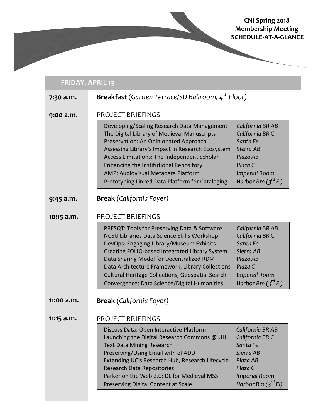## **CNI Spring 2018 Membership Meeting SCHEDULE-AT-A-GLANCE**

| <b>FRIDAY, APRIL 13</b> |                                                                                                                                                                                                                                                                                                                                                                                                                                                                                                                                                                                 |  |  |  |
|-------------------------|---------------------------------------------------------------------------------------------------------------------------------------------------------------------------------------------------------------------------------------------------------------------------------------------------------------------------------------------------------------------------------------------------------------------------------------------------------------------------------------------------------------------------------------------------------------------------------|--|--|--|
| 7:30 a.m.               | <b>Breakfast</b> (Garden Terrace/SD Ballroom, 4 <sup>th</sup> Floor)                                                                                                                                                                                                                                                                                                                                                                                                                                                                                                            |  |  |  |
| 9:00 a.m.               | <b>PROJECT BRIEFINGS</b><br>California BR AB<br>Developing/Scaling Research Data Management<br>The Digital Library of Medieval Manuscripts<br>California BR C<br>Santa Fe<br>Preservation: An Opinionated Approach<br>Sierra AB<br>Assessing Library's Impact in Research Ecosystem<br>Access Limitations: The Independent Scholar<br>Plaza AB<br>Enhancing the Institutional Repository<br>Plaza C<br>AMP: Audiovisual Metadata Platform<br><b>Imperial Room</b><br>Harbor Rm $(3^{rd}$ FI)<br>Prototyping Linked Data Platform for Cataloging                                 |  |  |  |
| $9:45$ a.m.             | <b>Break</b> (California Foyer)                                                                                                                                                                                                                                                                                                                                                                                                                                                                                                                                                 |  |  |  |
| 10:15 a.m.              | <b>PROJECT BRIEFINGS</b><br>California BR AB<br>PRESQT: Tools for Preserving Data & Software<br>NCSU Libraries Data Science Skills Workshop<br>California BR C<br>Santa Fe<br>DevOps: Engaging Library/Museum Exhibits<br>Creating FOLIO-based Integrated Library System<br>Sierra AB<br>Data Sharing Model for Decentralized RDM<br>Plaza AB<br>Plaza C<br>Data Architecture Framework, Library Collections<br>Cultural Heritage Collections, Geospatial Search<br><b>Imperial Room</b><br>Harbor Rm $({\mathfrak z}^{rd}$ FI)<br>Convergence: Data Science/Digital Humanities |  |  |  |
| 11:00 a.m.              | <b>Break</b> (California Foyer)                                                                                                                                                                                                                                                                                                                                                                                                                                                                                                                                                 |  |  |  |
| $11:15$ a.m.            | <b>PROJECT BRIEFINGS</b><br>Discuss Data: Open Interactive Platform<br>California BR AB<br>California BR C<br>Launching the Digital Research Commons @ UH<br>Santa Fe<br><b>Text Data Mining Research</b><br>Sierra AB<br>Preserving/Using Email with ePADD<br>Plaza AB<br>Extending UC's Research Hub, Research Lifecycle<br>Plaza C<br><b>Research Data Repositories</b><br>Parker on the Web 2.0: DL for Medieval MSS<br><b>Imperial Room</b><br>Harbor Rm $(3^{rd}$ FI)<br>Preserving Digital Content at Scale                                                              |  |  |  |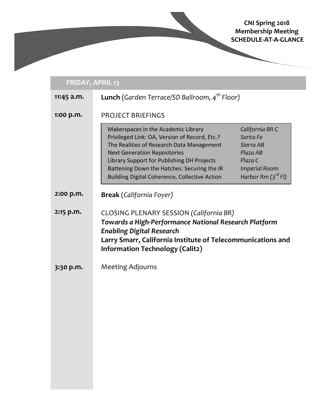# **CNI Spring 2018 Membership Meeting SCHEDULE-AT-A-GLANCE**

# **FRIDAY, APRIL 13**

| $11:45$ a.m. | <b>Lunch</b> (Garden Terrace/SD Ballroom, 4 <sup>th</sup> Floor)                                                                                                                                                                                                                                                       |                                                                                                                    |  |
|--------------|------------------------------------------------------------------------------------------------------------------------------------------------------------------------------------------------------------------------------------------------------------------------------------------------------------------------|--------------------------------------------------------------------------------------------------------------------|--|
| 1:00 p.m.    | <b>PROJECT BRIEFINGS</b>                                                                                                                                                                                                                                                                                               |                                                                                                                    |  |
|              | Makerspaces in the Academic Library<br>Privileged Link: OA, Version of Record, Etc.?<br>The Realities of Research Data Management<br><b>Next Generation Repositories</b><br>Library Support for Publishing DH Projects<br>Battening Down the Hatches: Securing the IR<br>Building Digital Coherence, Collective Action | California BR C<br>Santa Fe<br>Sierra AB<br>Plaza AB<br>Plaza C<br><b>Imperial Room</b><br>Harbor Rm $(3^{rd}$ FI) |  |
| 2:00 p.m.    | <b>Break</b> (California Foyer)                                                                                                                                                                                                                                                                                        |                                                                                                                    |  |
| 2:15 p.m.    | <b>CLOSING PLENARY SESSION (California BR)</b><br>Towards a High-Performance National Research Platform<br><b>Enabling Digital Research</b><br>Larry Smarr, California Institute of Telecommunications and<br><b>Information Technology (Calit2)</b>                                                                   |                                                                                                                    |  |
| 3:30 p.m.    | <b>Meeting Adjourns</b>                                                                                                                                                                                                                                                                                                |                                                                                                                    |  |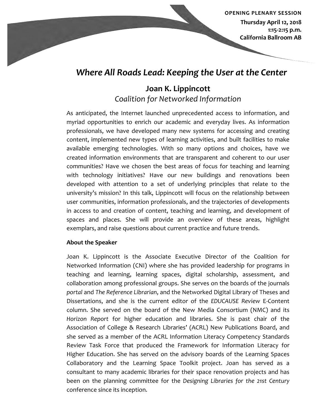*<u>OPENING PLENARY SESSION</u>*  **Thursday April 12, 2018 1:15-2:15 p.m. California Ballroom AB** 

# *Where All Roads Lead: Keeping the User at the Center*

# **Joan K. Lippincott** *Coalition for Networked Information*

As anticipated, the Internet launched unprecedented access to information, and myriad opportunities to enrich our academic and everyday lives. As information professionals, we have developed many new systems for accessing and creating content, implemented new types of learning activities, and built facilities to make available emerging technologies. With so many options and choices, have we created information environments that are transparent and coherent to our user communities? Have we chosen the best areas of focus for teaching and learning with technology initiatives? Have our new buildings and renovations been developed with attention to a set of underlying principles that relate to the university's mission? In this talk, Lippincott will focus on the relationship between user communities, information professionals, and the trajectories of developments in access to and creation of content, teaching and learning, and development of spaces and places. She will provide an overview of these areas, highlight exemplars, and raise questions about current practice and future trends.

## **About the Speaker**

Joan K. Lippincott is the Associate Executive Director of the Coalition for Networked Information (CNI) where she has provided leadership for programs in teaching and learning, learning spaces, digital scholarship, assessment, and collaboration among professional groups. She serves on the boards of the journals portal and The Reference Librarian, and the Networked Digital Library of Theses and Dissertations, and she is the current editor of the *EDUCAUSE* Review E-Content column. She served on the board of the New Media Consortium (NMC) and its *Horizon Report* for higher education and libraries. She is past chair of the Association of College & Research Libraries' (ACRL) New Publications Board, and she served as a member of the ACRL Information Literacy Competency Standards Review Task Force that produced the Framework for Information Literacy for Higher Education. She has served on the advisory boards of the Learning Spaces Collaboratory and the Learning Space Toolkit project. Joan has served as a consultant to many academic libraries for their space renovation projects and has been on the planning committee for the *Designing Libraries* for the 21st Century conference since its inception.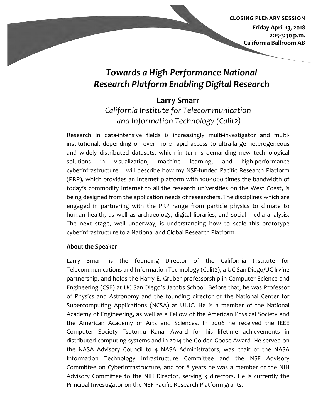## **CLOSING PLENARY SESSION Friday April 13, 2018 2:15-3:30 p.m. California Ballroom AB**

# *Towards a High-Performance National Research Platform Enabling Digital Research*

# **Larry Smarr**

# *California Institute for Telecommunication and Information Technology (Calit2)*

Research in data-intensive fields is increasingly multi-investigator and multiinstitutional, depending on ever more rapid access to ultra-large heterogeneous and widely distributed datasets, which in turn is demanding new technological solutions in visualization, machine learning, and high-performance cyberinfrastructure. I will describe how my NSF-funded Pacific Research Platform (PRP), which provides an Internet platform with 100-1000 times the bandwidth of today's commodity Internet to all the research universities on the West Coast, is being designed from the application needs of researchers. The disciplines which are engaged in partnering with the PRP range from particle physics to climate to human health, as well as archaeology, digital libraries, and social media analysis. The next stage, well underway, is understanding how to scale this prototype cyberinfrastructure to a National and Global Research Platform.

## **About the Speaker**

Larry Smarr is the founding Director of the California Institute for Telecommunications and Information Technology (Calit2), a UC San Diego/UC Irvine partnership, and holds the Harry E. Gruber professorship in Computer Science and Engineering (CSE) at UC San Diego's Jacobs School. Before that, he was Professor of Physics and Astronomy and the founding director of the National Center for Supercomputing Applications (NCSA) at UIUC. He is a member of the National Academy of Engineering, as well as a Fellow of the American Physical Society and the American Academy of Arts and Sciences. In 2006 he received the IEEE Computer Society Tsutomu Kanai Award for his lifetime achievements in distributed computing systems and in 2014 the Golden Goose Award. He served on the NASA Advisory Council to 4 NASA Administrators, was chair of the NASA Information Technology Infrastructure Committee and the NSF Advisory Committee on Cyberinfrastructure, and for 8 years he was a member of the NIH Advisory Committee to the NIH Director, serving 3 directors. He is currently the Principal Investigator on the NSF Pacific Research Platform grants.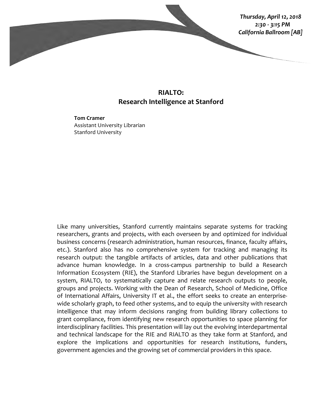

## **RIALTO: Research Intelligence at Stanford**

**Tom Cramer** Assistant University Librarian Stanford University

Like many universities, Stanford currently maintains separate systems for tracking researchers, grants and projects, with each overseen by and optimized for individual business concerns (research administration, human resources, finance, faculty affairs, etc.). Stanford also has no comprehensive system for tracking and managing its research output: the tangible artifacts of articles, data and other publications that advance human knowledge. In a cross-campus partnership to build a Research Information Ecosystem (RIE), the Stanford Libraries have begun development on a system, RIALTO, to systematically capture and relate research outputs to people, groups and projects. Working with the Dean of Research, School of Medicine, Office of International Affairs, University IT et al., the effort seeks to create an enterprisewide scholarly graph, to feed other systems, and to equip the university with research intelligence that may inform decisions ranging from building library collections to grant compliance, from identifying new research opportunities to space planning for interdisciplinary facilities. This presentation will lay out the evolving interdepartmental and technical landscape for the RIE and RIALTO as they take form at Stanford, and explore the implications and opportunities for research institutions, funders, government agencies and the growing set of commercial providers in this space.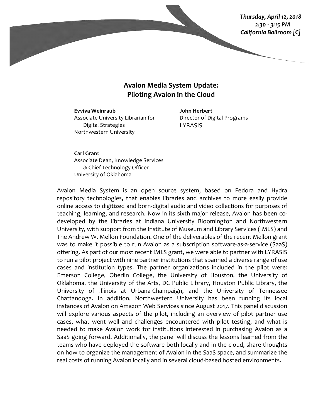*Thursday, April 12, 2018 2:30 - 3:15 PM California Ballroom [C]*

## **Avalon Media System Update: Piloting Avalon in the Cloud**

**Evviva Weinraub** Associate University Librarian for Digital Strategies Northwestern University

**John Herbert** Director of Digital Programs LYRASIS

**Carl Grant** Associate Dean, Knowledge Services & Chief Technology Officer University of Oklahoma

Avalon Media System is an open source system, based on Fedora and Hydra repository technologies, that enables libraries and archives to more easily provide online access to digitized and born-digital audio and video collections for purposes of teaching, learning, and research. Now in its sixth major release, Avalon has been codeveloped by the libraries at Indiana University Bloomington and Northwestern University, with support from the Institute of Museum and Library Services (IMLS) and The Andrew W. Mellon Foundation. One of the deliverables of the recent Mellon grant was to make it possible to run Avalon as a subscription software-as-a-service (SaaS) offering. As part of our most recent IMLS grant, we were able to partner with LYRASIS to run a pilot project with nine partner institutions that spanned a diverse range of use cases and institution types. The partner organizations included in the pilot were: Emerson College, Oberlin College, the University of Houston, the University of Oklahoma, the University of the Arts, DC Public Library, Houston Public Library, the University of Illinois at Urbana-Champaign, and the University of Tennessee Chattanooga. In addition, Northwestern University has been running its local instances of Avalon on Amazon Web Services since August 2017. This panel discussion will explore various aspects of the pilot, including an overview of pilot partner use cases, what went well and challenges encountered with pilot testing, and what is needed to make Avalon work for institutions interested in purchasing Avalon as a SaaS going forward. Additionally, the panel will discuss the lessons learned from the teams who have deployed the software both locally and in the cloud, share thoughts on how to organize the management of Avalon in the SaaS space, and summarize the real costs of running Avalon locally and in several cloud-based hosted environments.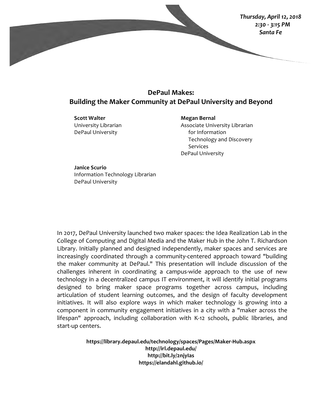

# **DePaul Makes: Building the Maker Community at DePaul University and Beyond**

**Scott Walter** University Librarian DePaul University

**Megan Bernal**

Associate University Librarian for Information Technology and Discovery Services DePaul University

**Janice Scurio** Information Technology Librarian DePaul University

In 2017, DePaul University launched two maker spaces: the Idea Realization Lab in the College of Computing and Digital Media and the Maker Hub in the John T. Richardson Library. Initially planned and designed independently, maker spaces and services are increasingly coordinated through a community-centered approach toward "building the maker community at DePaul." This presentation will include discussion of the challenges inherent in coordinating a campus-wide approach to the use of new technology in a decentralized campus IT environment, it will identify initial programs designed to bring maker space programs together across campus, including articulation of student learning outcomes, and the design of faculty development initiatives. It will also explore ways in which maker technology is growing into a component in community engagement initiatives in a city with a "maker across the lifespan" approach, including collaboration with K-12 schools, public libraries, and start-up centers.

> **https://library.depaul.edu/technology/spaces/Pages/Maker-Hub.aspx http://irl.depaul.edu/ http://bit.ly/2njyIas https://elandahl.github.io/**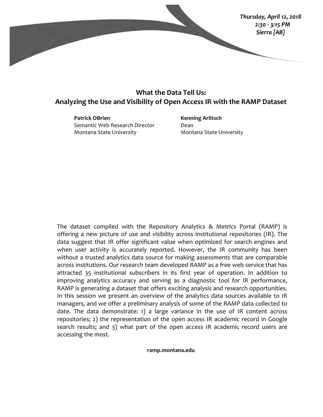

# **What the Data Tell Us:** Analyzing the Use and Visibility of Open Access IR with the RAMP Dataset

**Patrick OBrien** Semantic Web Research Director Montana State University

**Kenning Arlitsch** Dean Montana State University

The dataset compiled with the Repository Analytics  $\&$  Metrics Portal (RAMP) is offering a new picture of use and visibility across institutional repositories (IR). The data suggest that IR offer significant value when optimized for search engines and when user activity is accurately reported. However, the IR community has been without a trusted analytics data source for making assessments that are comparable across institutions. Our research team developed RAMP as a free web service that has attracted 35 institutional subscribers in its first year of operation. In addition to improving analytics accuracy and serving as a diagnostic tool for IR performance, RAMP is generating a dataset that offers exciting analysis and research opportunities. In this session we present an overview of the analytics data sources available to IR managers, and we offer a preliminary analysis of some of the RAMP data collected to date. The data demonstrate: 1) a large variance in the use of IR content across repositories; 2) the representation of the open access IR academic record in Google search results; and 3) what part of the open access IR academic record users are accessing the most.

#### **ramp.montana.edu**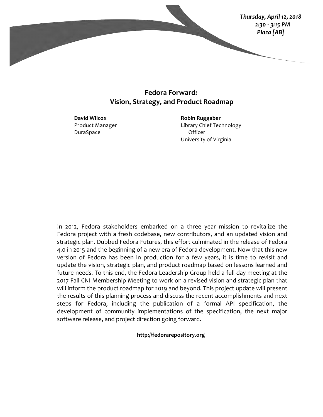

## **Fedora Forward: Vision, Strategy, and Product Roadmap**

**David Wilcox** Product Manager DuraSpace

**Robin Ruggaber** Library Chief Technology Officer University of Virginia

In 2012, Fedora stakeholders embarked on a three year mission to revitalize the Fedora project with a fresh codebase, new contributors, and an updated vision and strategic plan. Dubbed Fedora Futures, this effort culminated in the release of Fedora 4.0 in 2015 and the beginning of a new era of Fedora development. Now that this new version of Fedora has been in production for a few years, it is time to revisit and update the vision, strategic plan, and product roadmap based on lessons learned and future needs. To this end, the Fedora Leadership Group held a full-day meeting at the 2017 Fall CNI Membership Meeting to work on a revised vision and strategic plan that will inform the product roadmap for 2019 and beyond. This project update will present the results of this planning process and discuss the recent accomplishments and next steps for Fedora, including the publication of a formal API specification, the development of community implementations of the specification, the next major software release, and project direction going forward.

**http://fedorarepository.org**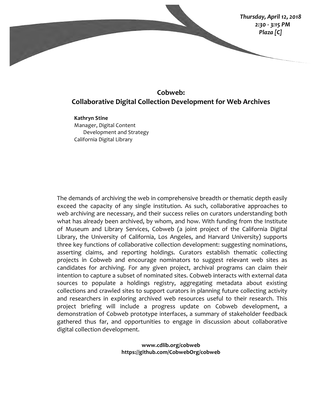

# **Cobweb: Collaborative Digital Collection Development for Web Archives**

**Kathryn Stine** Manager, Digital Content Development and Strategy California Digital Library

The demands of archiving the web in comprehensive breadth or thematic depth easily exceed the capacity of any single institution. As such, collaborative approaches to web archiving are necessary, and their success relies on curators understanding both what has already been archived, by whom, and how. With funding from the Institute of Museum and Library Services, Cobweb (a joint project of the California Digital Library, the University of California, Los Angeles, and Harvard University) supports three key functions of collaborative collection development: suggesting nominations, asserting claims, and reporting holdings. Curators establish thematic collecting projects in Cobweb and encourage nominators to suggest relevant web sites as candidates for archiving. For any given project, archival programs can claim their intention to capture a subset of nominated sites. Cobweb interacts with external data sources to populate a holdings registry, aggregating metadata about existing collections and crawled sites to support curators in planning future collecting activity and researchers in exploring archived web resources useful to their research. This project briefing will include a progress update on Cobweb development, a demonstration of Cobweb prototype interfaces, a summary of stakeholder feedback gathered thus far, and opportunities to engage in discussion about collaborative digital collection development.

> **www.cdlib.org/cobweb https://github.com/CobwebOrg/cobweb**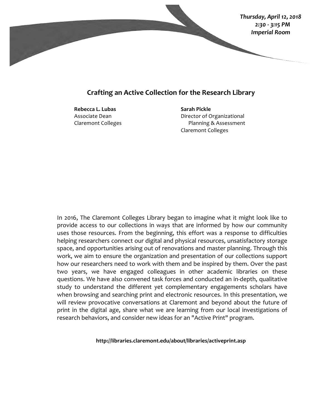

## **Crafting an Active Collection for the Research Library**

**Rebecca L. Lubas** Associate Dean Claremont Colleges **Sarah Pickle** Director of Organizational Planning & Assessment Claremont Colleges

In 2016, The Claremont Colleges Library began to imagine what it might look like to provide access to our collections in ways that are informed by how our community uses those resources. From the beginning, this effort was a response to difficulties helping researchers connect our digital and physical resources, unsatisfactory storage space, and opportunities arising out of renovations and master planning. Through this work, we aim to ensure the organization and presentation of our collections support how our researchers need to work with them and be inspired by them. Over the past two years, we have engaged colleagues in other academic libraries on these questions. We have also convened task forces and conducted an in-depth, qualitative study to understand the different yet complementary engagements scholars have when browsing and searching print and electronic resources. In this presentation, we will review provocative conversations at Claremont and beyond about the future of print in the digital age, share what we are learning from our local investigations of research behaviors, and consider new ideas for an "Active Print" program.

**http://libraries.claremont.edu/about/libraries/activeprint.asp**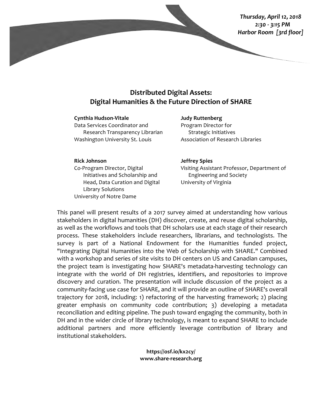*Thursday, April 12, 2018 2:30 - 3:15 PM Harbor Room [3rd floor]*

# **Distributed Digital Assets: Digital Humanities & the Future Direction of SHARE**

#### **Cynthia Hudson-Vitale**

Data Services Coordinator and Research Transparency Librarian Washington University St. Louis

**Judy Ruttenberg** Program Director for Strategic Initiatives Association of Research Libraries

### **Rick Johnson**

Co-Program Director, Digital Initiatives and Scholarship and Head, Data Curation and Digital Library Solutions University of Notre Dame

#### **Jeffrey Spies**

Visiting Assistant Professor, Department of Engineering and Society University of Virginia

This panel will present results of a 2017 survey aimed at understanding how various stakeholders in digital humanities (DH) discover, create, and reuse digital scholarship, as well as the workflows and tools that DH scholars use at each stage of their research process. These stakeholders include researchers, librarians, and technologists. The survey is part of a National Endowment for the Humanities funded project, "Integrating Digital Humanities into the Web of Scholarship with SHARE." Combined with a workshop and series of site visits to DH centers on US and Canadian campuses, the project team is investigating how SHARE's metadata-harvesting technology can integrate with the world of DH registries, identifiers, and repositories to improve discovery and curation. The presentation will include discussion of the project as a community-facing use case for SHARE, and it will provide an outline of SHARE's overall trajectory for 2018, including: 1) refactoring of the harvesting framework; 2) placing greater emphasis on community code contribution; 3) developing a metadata reconciliation and editing pipeline. The push toward engaging the community, both in DH and in the wider circle of library technology, is meant to expand SHARE to include additional partners and more efficiently leverage contribution of library and institutional stakeholders.

> **https://osf.io/kx2cy/ www.share-research.org**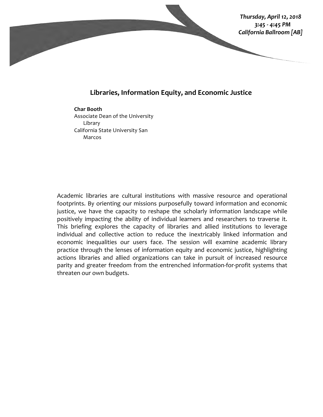

## Libraries, Information Equity, and Economic Justice

#### **Char Booth**

Associate Dean of the University Library California State University San Marcos

Academic libraries are cultural institutions with massive resource and operational footprints. By orienting our missions purposefully toward information and economic justice, we have the capacity to reshape the scholarly information landscape while positively impacting the ability of individual learners and researchers to traverse it. This briefing explores the capacity of libraries and allied institutions to leverage individual and collective action to reduce the inextricably linked information and economic inequalities our users face. The session will examine academic library practice through the lenses of information equity and economic justice, highlighting actions libraries and allied organizations can take in pursuit of increased resource parity and greater freedom from the entrenched information-for-profit systems that threaten our own budgets.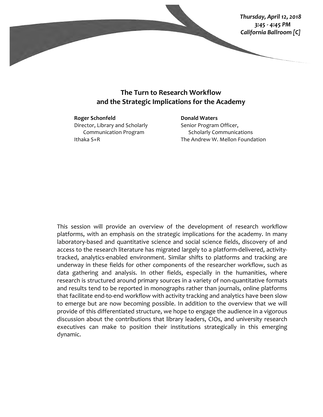

## **The Turn to Research Workflow** and the Strategic Implications for the Academy

#### **Roger Schonfeld**

Director, Library and Scholarly Communication Program Ithaka S+R

## **Donald Waters** Senior Program Officer, Scholarly Communications The Andrew W. Mellon Foundation

This session will provide an overview of the development of research workflow platforms, with an emphasis on the strategic implications for the academy. In many laboratory-based and quantitative science and social science fields, discovery of and access to the research literature has migrated largely to a platform-delivered, activitytracked, analytics-enabled environment. Similar shifts to platforms and tracking are underway in these fields for other components of the researcher workflow, such as data gathering and analysis. In other fields, especially in the humanities, where research is structured around primary sources in a variety of non-quantitative formats and results tend to be reported in monographs rather than journals, online platforms that facilitate end-to-end workflow with activity tracking and analytics have been slow to emerge but are now becoming possible. In addition to the overview that we will provide of this differentiated structure, we hope to engage the audience in a vigorous discussion about the contributions that library leaders, CIOs, and university research executives can make to position their institutions strategically in this emerging dynamic.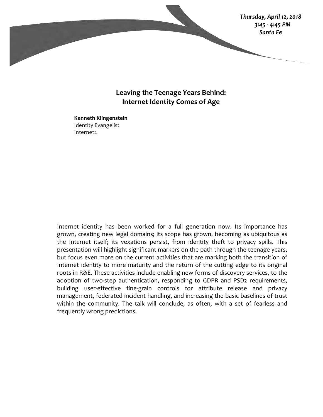

## Leaving the Teenage Years Behind: **Internet Identity Comes of Age**

**Kenneth Klingenstein** Identity Evangelist Internet2

Internet identity has been worked for a full generation now. Its importance has grown, creating new legal domains; its scope has grown, becoming as ubiquitous as the Internet itself; its vexations persist, from identity theft to privacy spills. This presentation will highlight significant markers on the path through the teenage years, but focus even more on the current activities that are marking both the transition of Internet identity to more maturity and the return of the cutting edge to its original roots in R&E. These activities include enabling new forms of discovery services, to the adoption of two-step authentication, responding to GDPR and PSD2 requirements, building user-effective fine-grain controls for attribute release and privacy management, federated incident handling, and increasing the basic baselines of trust within the community. The talk will conclude, as often, with a set of fearless and frequently wrong predictions.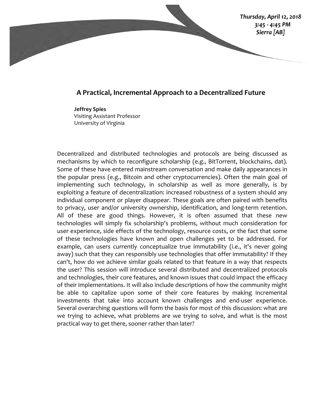

## A Practical, Incremental Approach to a Decentralized Future

**Jeffrey Spies** Visiting Assistant Professor University of Virginia

Decentralized and distributed technologies and protocols are being discussed as mechanisms by which to reconfigure scholarship (e.g., BitTorrent, blockchains, dat). Some of these have entered mainstream conversation and make daily appearances in the popular press (e.g., Bitcoin and other cryptocurrencies). Often the main goal of implementing such technology, in scholarship as well as more generally, is by exploiting a feature of decentralization: increased robustness of a system should any individual component or player disappear. These goals are often paired with benefits to privacy, user and/or university ownership, identification, and long-term retention. All of these are good things. However, it is often assumed that these new technologies will simply fix scholarship's problems, without much consideration for user experience, side effects of the technology, resource costs, or the fact that some of these technologies have known and open challenges yet to be addressed. For example, can users currently conceptualize true immutability (i.e., it's never going away) such that they can responsibly use technologies that offer immutability? If they can't, how do we achieve similar goals related to that feature in a way that respects the user? This session will introduce several distributed and decentralized protocols and technologies, their core features, and known issues that could impact the efficacy of their implementations. It will also include descriptions of how the community might be able to capitalize upon some of their core features by making incremental investments that take into account known challenges and end-user experience. Several overarching questions will form the basis for most of this discussion: what are we trying to achieve, what problems are we trying to solve, and what is the most practical way to get there, sooner rather than later?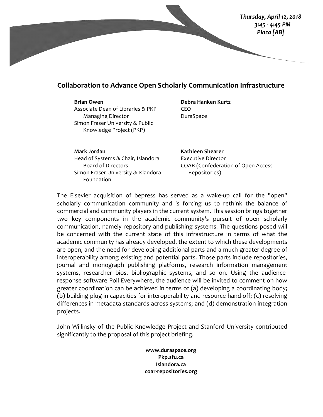

## **Collaboration to Advance Open Scholarly Communication Infrastructure**

#### **Brian Owen**

Associate Dean of Libraries & PKP Managing Director Simon Fraser University & Public Knowledge Project (PKP)

### **Debra Hanken Kurtz** CEO DuraSpace

**Mark Jordan** Head of Systems & Chair, Islandora Board of Directors Simon Fraser University & Islandora Foundation

**Kathleen Shearer** Executive Director COAR (Confederation of Open Access Repositories)

The Elsevier acquisition of bepress has served as a wake-up call for the "open" scholarly communication community and is forcing us to rethink the balance of commercial and community players in the current system. This session brings together two key components in the academic community's pursuit of open scholarly communication, namely repository and publishing systems. The questions posed will be concerned with the current state of this infrastructure in terms of what the academic community has already developed, the extent to which these developments are open, and the need for developing additional parts and a much greater degree of interoperability among existing and potential parts. Those parts include repositories, journal and monograph publishing platforms, research information management systems, researcher bios, bibliographic systems, and so on. Using the audienceresponse software Poll Everywhere, the audience will be invited to comment on how greater coordination can be achieved in terms of  $(a)$  developing a coordinating body; (b) building plug-in capacities for interoperability and resource hand-off;  $(c)$  resolving differences in metadata standards across systems; and (d) demonstration integration projects.

John Willinsky of the Public Knowledge Project and Stanford University contributed significantly to the proposal of this project briefing.

> **www.duraspace.org Pkp.sfu.ca Islandora.ca coar-repositories.org**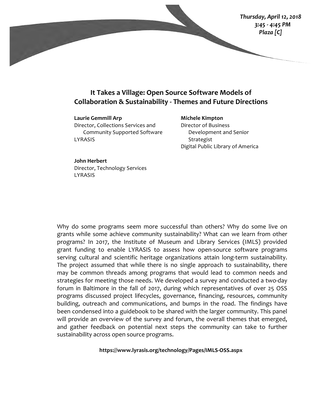

## **It Takes a Village: Open Source Software Models of Collaboration & Sustainability - Themes and Future Directions**

**Laurie Gemmill Arp** Director, Collections Services and Community Supported Software LYRASIS

**Michele Kimpton** Director of Business Development and Senior Strategist Digital Public Library of America

**John Herbert** Director, Technology Services

LYRASIS

Why do some programs seem more successful than others? Why do some live on grants while some achieve community sustainability? What can we learn from other programs? In 2017, the Institute of Museum and Library Services (IMLS) provided grant funding to enable LYRASIS to assess how open-source software programs serving cultural and scientific heritage organizations attain long-term sustainability. The project assumed that while there is no single approach to sustainability, there may be common threads among programs that would lead to common needs and strategies for meeting those needs. We developed a survey and conducted a two-day forum in Baltimore in the fall of 2017, during which representatives of over 25 OSS programs discussed project lifecycles, governance, financing, resources, community building, outreach and communications, and bumps in the road. The findings have been condensed into a guidebook to be shared with the larger community. This panel will provide an overview of the survey and forum, the overall themes that emerged, and gather feedback on potential next steps the community can take to further sustainability across open source programs.

**https://www.lyrasis.org/technology/Pages/IMLS-OSS.aspx**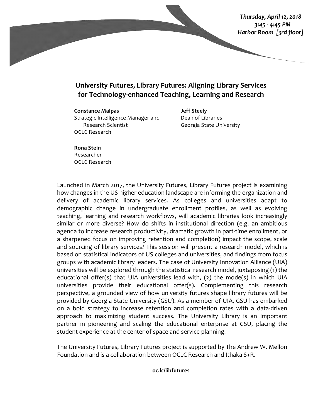*Thursday, April 12, 2018 3:45 - 4:45 PM Harbor Room [3rd floor]*

# **University Futures, Library Futures: Aligning Library Services for Technology-enhanced Teaching, Learning and Research**

#### **Constance Malpas**

Strategic Intelligence Manager and Research Scientist OCLC Research

**Jeff Steely** Dean of Libraries Georgia State University

## **Rona Stein** Researcher OCLC Research

Launched in March 2017, the University Futures, Library Futures project is examining how changes in the US higher education landscape are informing the organization and delivery of academic library services. As colleges and universities adapt to demographic change in undergraduate enrollment profiles, as well as evolving teaching, learning and research workflows, will academic libraries look increasingly similar or more diverse? How do shifts in institutional direction (e.g. an ambitious agenda to increase research productivity, dramatic growth in part-time enrollment, or a sharpened focus on improving retention and completion) impact the scope, scale and sourcing of library services? This session will present a research model, which is based on statistical indicators of US colleges and universities, and findings from focus groups with academic library leaders. The case of University Innovation Alliance (UIA) universities will be explored through the statistical research model, juxtaposing (1) the educational offer(s) that UIA universities lead with,  $(2)$  the mode(s) in which UIA universities provide their educational offer(s). Complementing this research perspective, a grounded view of how university futures shape library futures will be provided by Georgia State University (GSU). As a member of UIA, GSU has embarked on a bold strategy to increase retention and completion rates with a data-driven approach to maximizing student success. The University Library is an important partner in pioneering and scaling the educational enterprise at GSU, placing the student experience at the center of space and service planning.

The University Futures, Library Futures project is supported by The Andrew W. Mellon Foundation and is a collaboration between OCLC Research and Ithaka S+R.

### **oc.lc/libfutures**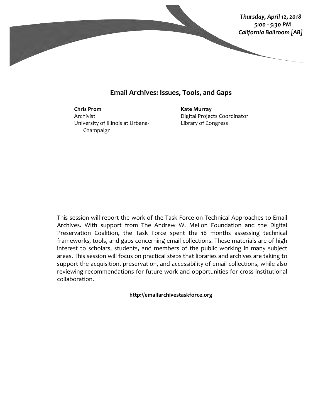

## **Email Archives: Issues, Tools, and Gaps**

**Chris Prom** Archivist University of Illinois at Urbana-Champaign

**Kate Murray** Digital Projects Coordinator Library of Congress

This session will report the work of the Task Force on Technical Approaches to Email Archives. With support from The Andrew W. Mellon Foundation and the Digital Preservation Coalition, the Task Force spent the 18 months assessing technical frameworks, tools, and gaps concerning email collections. These materials are of high interest to scholars, students, and members of the public working in many subject areas. This session will focus on practical steps that libraries and archives are taking to support the acquisition, preservation, and accessibility of email collections, while also reviewing recommendations for future work and opportunities for cross-institutional collaboration.

**http://emailarchivestaskforce.org**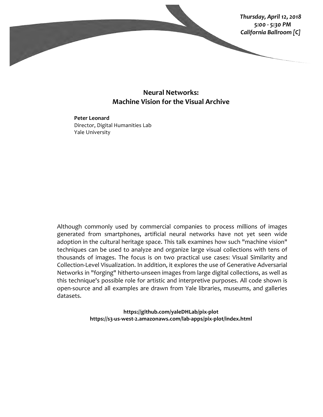

## **Neural Networks: Machine Vision for the Visual Archive**

**Peter Leonard** Director, Digital Humanities Lab Yale University

Although commonly used by commercial companies to process millions of images generated from smartphones, artificial neural networks have not yet seen wide adoption in the cultural heritage space. This talk examines how such "machine vision" techniques can be used to analyze and organize large visual collections with tens of thousands of images. The focus is on two practical use cases: Visual Similarity and Collection-Level Visualization. In addition, it explores the use of Generative Adversarial Networks in "forging" hitherto-unseen images from large digital collections, as well as this technique's possible role for artistic and interpretive purposes. All code shown is open-source and all examples are drawn from Yale libraries, museums, and galleries datasets.

> **https://github.com/yaleDHLab/pix-plot https://s3-us-west-2.amazonaws.com/lab-apps/pix-plot/index.html**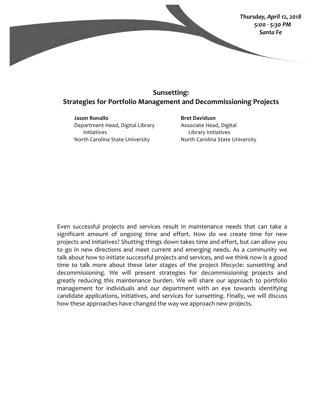

# **Sunsetting: Strategies for Portfolio Management and Decommissioning Projects**

**Jason Ronallo** Department Head, Digital Library Initiatives North Carolina State University

**Bret Davidson** Associate Head, Digital Library Initiatives North Carolina State University

Even successful projects and services result in maintenance needs that can take a significant amount of ongoing time and effort. How do we create time for new projects and initiatives? Shutting things down takes time and effort, but can allow you to go in new directions and meet current and emerging needs. As a community we talk about how to initiate successful projects and services, and we think now is a good time to talk more about these later stages of the project lifecycle: sunsetting and decommissioning. We will present strategies for decommissioning projects and greatly reducing this maintenance burden. We will share our approach to portfolio management for individuals and our department with an eye towards identifying candidate applications, initiatives, and services for sunsetting. Finally, we will discuss how these approaches have changed the way we approach new projects.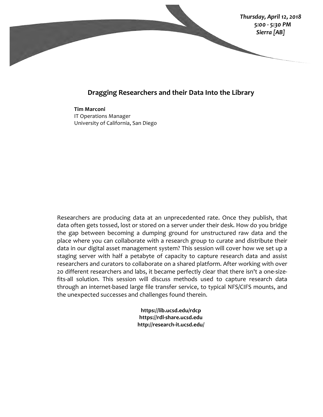

## **Dragging Researchers and their Data Into the Library**

**Tim Marconi** IT Operations Manager University of California, San Diego

Researchers are producing data at an unprecedented rate. Once they publish, that data often gets tossed, lost or stored on a server under their desk. How do you bridge the gap between becoming a dumping ground for unstructured raw data and the place where you can collaborate with a research group to curate and distribute their data in our digital asset management system? This session will cover how we set up a staging server with half a petabyte of capacity to capture research data and assist researchers and curators to collaborate on a shared platform. After working with over 20 different researchers and labs, it became perfectly clear that there isn't a one-sizefits-all solution. This session will discuss methods used to capture research data through an internet-based large file transfer service, to typical NFS/CIFS mounts, and the unexpected successes and challenges found therein.

> **https://lib.ucsd.edu/rdcp https://rdl-share.ucsd.edu http://research-it.ucsd.edu/**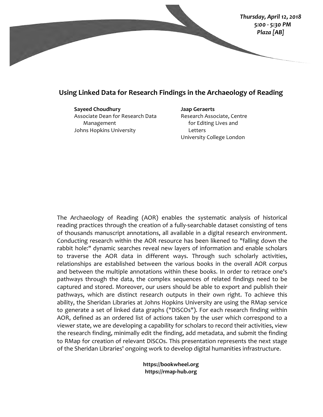

## Using Linked Data for Research Findings in the Archaeology of Reading

**Sayeed Choudhury** Associate Dean for Research Data Management Johns Hopkins University

**Jaap Geraerts** Research Associate, Centre for Editing Lives and Letters University College London

The Archaeology of Reading (AOR) enables the systematic analysis of historical reading practices through the creation of a fully-searchable dataset consisting of tens of thousands manuscript annotations, all available in a digital research environment. Conducting research within the AOR resource has been likened to "falling down the rabbit hole:" dynamic searches reveal new layers of information and enable scholars to traverse the AOR data in different ways. Through such scholarly activities, relationships are established between the various books in the overall AOR corpus and between the multiple annotations within these books. In order to retrace one's pathways through the data, the complex sequences of related findings need to be captured and stored. Moreover, our users should be able to export and publish their pathways, which are distinct research outputs in their own right. To achieve this ability, the Sheridan Libraries at Johns Hopkins University are using the RMap service to generate a set of linked data graphs ("DiSCOs"). For each research finding within AOR, defined as an ordered list of actions taken by the user which correspond to a viewer state, we are developing a capability for scholars to record their activities, view the research finding, minimally edit the finding, add metadata, and submit the finding to RMap for creation of relevant DiSCOs. This presentation represents the next stage of the Sheridan Libraries' ongoing work to develop digital humanities infrastructure.

> **https://bookwheel.org https://rmap-hub.org**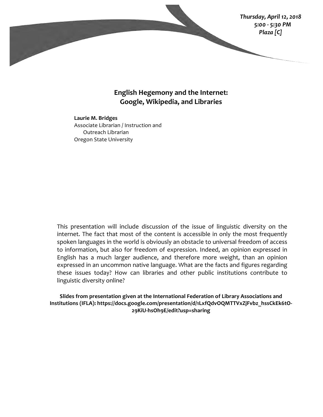

## English Hegemony and the Internet: **Google, Wikipedia, and Libraries**

**Laurie M. Bridges** Associate Librarian / Instruction and Outreach Librarian Oregon State University

This presentation will include discussion of the issue of linguistic diversity on the internet. The fact that most of the content is accessible in only the most frequently spoken languages in the world is obviously an obstacle to universal freedom of access to information, but also for freedom of expression. Indeed, an opinion expressed in English has a much larger audience, and therefore more weight, than an opinion expressed in an uncommon native language. What are the facts and figures regarding these issues today? How can libraries and other public institutions contribute to linguistic diversity online?

Slides from presentation given at the International Federation of Library Associations and Institutions (IFLA): https://docs.google.com/presentation/d/1LxfQdvOQMTTVxZjFvbz\_hssCkEk6tO-**29KiU-hsOh9E/edit?usp=sharing**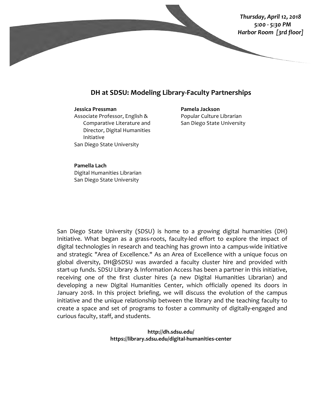

## **DH** at SDSU: Modeling Library-Faculty Partnerships

#### **Jessica Pressman**

Associate Professor, English & Comparative Literature and Director, Digital Humanities Initiative San Diego State University

**Pamela Jackson** Popular Culture Librarian San Diego State University

#### **Pamella Lach**

Digital Humanities Librarian San Diego State University

San Diego State University (SDSU) is home to a growing digital humanities (DH) Initiative. What began as a grass-roots, faculty-led effort to explore the impact of digital technologies in research and teaching has grown into a campus-wide initiative and strategic "Area of Excellence." As an Area of Excellence with a unique focus on global diversity, DH@SDSU was awarded a faculty cluster hire and provided with start-up funds. SDSU Library & Information Access has been a partner in this initiative, receiving one of the first cluster hires (a new Digital Humanities Librarian) and developing a new Digital Humanities Center, which officially opened its doors in January 2018. In this project briefing, we will discuss the evolution of the campus initiative and the unique relationship between the library and the teaching faculty to create a space and set of programs to foster a community of digitally-engaged and curious faculty, staff, and students.

> **http://dh.sdsu.edu/ https://library.sdsu.edu/digital-humanities-center**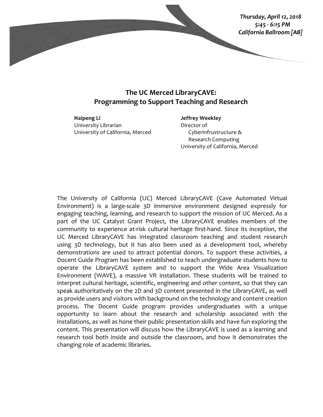

# **The UC Merced LibraryCAVE: Programming to Support Teaching and Research**

**Haipeng Li** University Librarian University of California, Merced **Jeffrey Weekley** Director of Cyberinfrustructure & Research Computing University of California, Merced

The University of California (UC) Merced LibraryCAVE (Cave Automated Virtual Environment) is a large-scale  $3D$  immersive environment designed expressly for engaging teaching, learning, and research to support the mission of UC Merced. As a part of the UC Catalyst Grant Project, the LibraryCAVE enables members of the community to experience at-risk cultural heritage first-hand. Since its inception, the UC Merced LibraryCAVE has integrated classroom teaching and student research using 3D technology, but it has also been used as a development tool, whereby demonstrations are used to attract potential donors. To support these activities, a Docent Guide Program has been established to teach undergraduate students how to operate the LibraryCAVE system and to support the Wide Area Visualization Environment (WAVE), a massive VR installation. These students will be trained to interpret cultural heritage, scientific, engineering and other content, so that they can speak authoritatively on the 2D and 3D content presented in the LibraryCAVE, as well as provide users and visitors with background on the technology and content creation process. The Docent Guide program provides undergraduates with a unique opportunity to learn about the research and scholarship associated with the installations, as well as hone their public presentation skills and have fun exploring the content. This presentation will discuss how the LibraryCAVE is used as a learning and research tool both inside and outside the classroom, and how it demonstrates the changing role of academic libraries.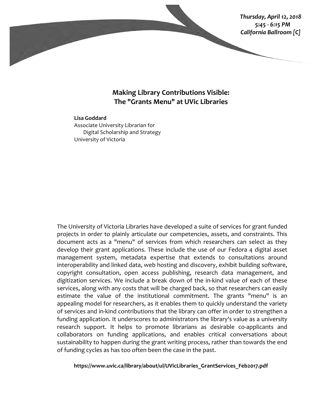

## **Making Library Contributions Visible: The "Grants Menu" at UVic Libraries**

## **Lisa Goddard** Associate University Librarian for Digital Scholarship and Strategy University of Victoria

The University of Victoria Libraries have developed a suite of services for grant funded projects in order to plainly articulate our competencies, assets, and constraints. This document acts as a "menu" of services from which researchers can select as they develop their grant applications. These include the use of our Fedora 4 digital asset management system, metadata expertise that extends to consultations around interoperability and linked data, web hosting and discovery, exhibit building software, copyright consultation, open access publishing, research data management, and digitization services. We include a break down of the in-kind value of each of these services, along with any costs that will be charged back, so that researchers can easily estimate the value of the institutional commitment. The grants "menu" is an appealing model for researchers, as it enables them to quickly understand the variety of services and in-kind contributions that the library can offer in order to strengthen a funding application. It underscores to administrators the library's value as a university research support. It helps to promote librarians as desirable co-applicants and collaborators on funding applications, and enables critical conversations about sustainability to happen during the grant writing process, rather than towards the end of funding cycles as has too often been the case in the past.

**https://www.uvic.ca/library/about/ul/UVicLibraries\_GrantServices\_Feb2017.pdf**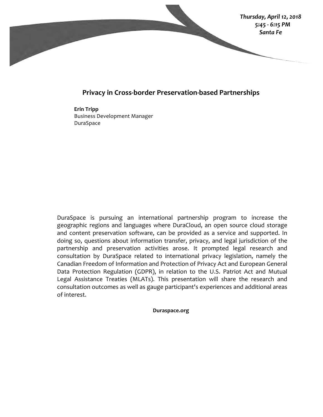

## **Privacy in Cross-border Preservation-based Partnerships**

**Erin Tripp** Business Development Manager DuraSpace

DuraSpace is pursuing an international partnership program to increase the geographic regions and languages where DuraCloud, an open source cloud storage and content preservation software, can be provided as a service and supported. In doing so, questions about information transfer, privacy, and legal jurisdiction of the partnership and preservation activities arose. It prompted legal research and consultation by DuraSpace related to international privacy legislation, namely the Canadian Freedom of Information and Protection of Privacy Act and European General Data Protection Regulation (GDPR), in relation to the U.S. Patriot Act and Mutual Legal Assistance Treaties (MLATs). This presentation will share the research and consultation outcomes as well as gauge participant's experiences and additional areas of interest.

**Duraspace.org**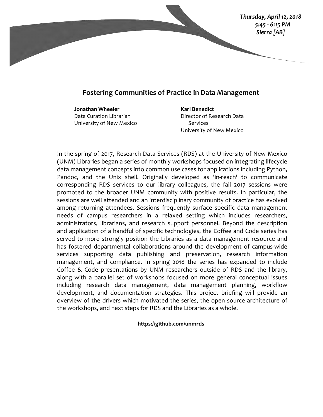

## **Fostering Communities of Practice in Data Management**

**Jonathan Wheeler** Data Curation Librarian University of New Mexico **Karl Benedict** Director of Research Data Services University of New Mexico

In the spring of 2017, Research Data Services (RDS) at the University of New Mexico (UNM) Libraries began a series of monthly workshops focused on integrating lifecycle data management concepts into common use cases for applications including Python, Pandoc, and the Unix shell. Originally developed as 'in-reach' to communicate corresponding RDS services to our library colleagues, the fall 2017 sessions were promoted to the broader UNM community with positive results. In particular, the sessions are well attended and an interdisciplinary community of practice has evolved among returning attendees. Sessions frequently surface specific data management needs of campus researchers in a relaxed setting which includes researchers, administrators, librarians, and research support personnel. Beyond the description and application of a handful of specific technologies, the Coffee and Code series has served to more strongly position the Libraries as a data management resource and has fostered departmental collaborations around the development of campus-wide services supporting data publishing and preservation, research information management, and compliance. In spring 2018 the series has expanded to include Coffee & Code presentations by UNM researchers outside of RDS and the library, along with a parallel set of workshops focused on more general conceptual issues including research data management, data management planning, workflow development, and documentation strategies. This project briefing will provide an overview of the drivers which motivated the series, the open source architecture of the workshops, and next steps for RDS and the Libraries as a whole.

**https://github.com/unmrds**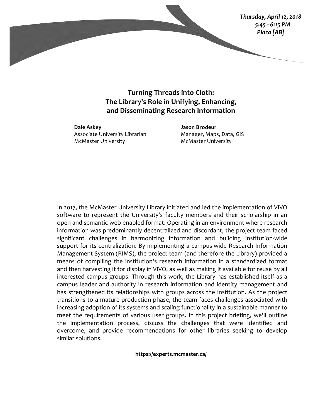*Thursday, April 12, 2018 5:45 - 6:15 PM Plaza [AB]*

**Turning Threads into Cloth:** The Library's Role in Unifying, Enhancing, **and Disseminating Research Information**

**Dale Askey** Associate University Librarian **McMaster University** 

**Jason Brodeur** Manager, Maps, Data, GIS **McMaster University** 

In 2017, the McMaster University Library initiated and led the implementation of VIVO software to represent the University's faculty members and their scholarship in an open and semantic web-enabled format. Operating in an environment where research information was predominantly decentralized and discordant, the project team faced significant challenges in harmonizing information and building institution-wide support for its centralization. By implementing a campus-wide Research Information Management System (RIMS), the project team (and therefore the Library) provided a means of compiling the institution's research information in a standardized format and then harvesting it for display in VIVO, as well as making it available for reuse by all interested campus groups. Through this work, the Library has established itself as a campus leader and authority in research information and identity management and has strengthened its relationships with groups across the institution. As the project transitions to a mature production phase, the team faces challenges associated with increasing adoption of its systems and scaling functionality in a sustainable manner to meet the requirements of various user groups. In this project briefing, we'll outline the implementation process, discuss the challenges that were identified and overcome, and provide recommendations for other libraries seeking to develop similar solutions.

**https://experts.mcmaster.ca/**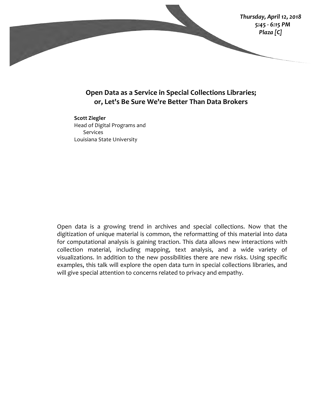

## **Open Data as a Service in Special Collections Libraries;** or, Let's Be Sure We're Better Than Data Brokers

**Scott Ziegler** Head of Digital Programs and Services Louisiana State University

Open data is a growing trend in archives and special collections. Now that the digitization of unique material is common, the reformatting of this material into data for computational analysis is gaining traction. This data allows new interactions with collection material, including mapping, text analysis, and a wide variety of visualizations. In addition to the new possibilities there are new risks. Using specific examples, this talk will explore the open data turn in special collections libraries, and will give special attention to concerns related to privacy and empathy.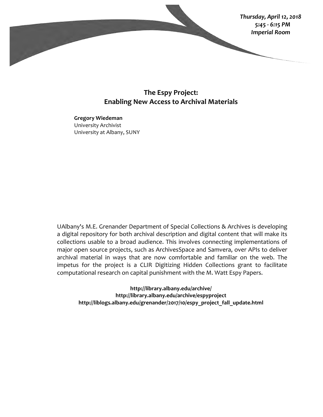

## **The Espy Project: Enabling New Access to Archival Materials**

**Gregory Wiedeman** University Archivist University at Albany, SUNY

UAlbany's M.E. Grenander Department of Special Collections & Archives is developing a digital repository for both archival description and digital content that will make its collections usable to a broad audience. This involves connecting implementations of major open source projects, such as ArchivesSpace and Samvera, over APIs to deliver archival material in ways that are now comfortable and familiar on the web. The impetus for the project is a CLIR Digitizing Hidden Collections grant to facilitate computational research on capital punishment with the M. Watt Espy Papers.

**http://library.albany.edu/archive/ http://library.albany.edu/archive/espyproject http://liblogs.albany.edu/grenander/2017/10/espy\_project\_fall\_update.html**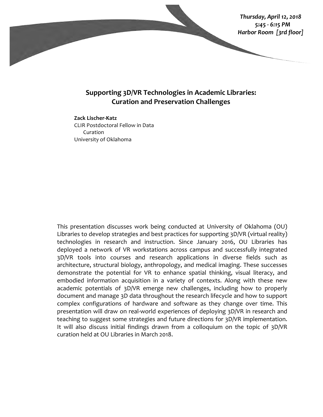

## **Supporting 3D/VR Technologies in Academic Libraries: Curation and Preservation Challenges**

## **Zack Lischer-Katz** CLIR Postdoctoral Fellow in Data Curation University of Oklahoma

This presentation discusses work being conducted at University of Oklahoma (OU) Libraries to develop strategies and best practices for supporting  $3D/VR$  (virtual reality) technologies in research and instruction. Since January 2016, OU Libraries has deployed a network of VR workstations across campus and successfully integrated 3D/VR tools into courses and research applications in diverse fields such as architecture, structural biology, anthropology, and medical imaging. These successes demonstrate the potential for VR to enhance spatial thinking, visual literacy, and embodied information acquisition in a variety of contexts. Along with these new academic potentials of 3D/VR emerge new challenges, including how to properly document and manage 3D data throughout the research lifecycle and how to support complex configurations of hardware and software as they change over time. This presentation will draw on real-world experiences of deploying 3D/VR in research and teaching to suggest some strategies and future directions for 3D/VR implementation. It will also discuss initial findings drawn from a colloquium on the topic of 3D/VR curation held at OU Libraries in March 2018.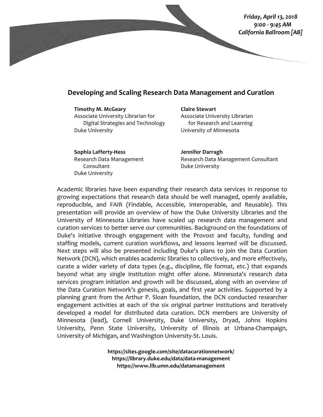

## **Developing and Scaling Research Data Management and Curation**

**Timothy M. McGeary** Associate University Librarian for Digital Strategies and Technology Duke University

**Claire Stewart** Associate University Librarian for Research and Learning University of Minnesota

**Sophia Lafferty-Hess** Research Data Management Consultant Duke University

**Jennifer Darragh** Research Data Management Consultant Duke University

Academic libraries have been expanding their research data services in response to growing expectations that research data should be well managed, openly available, reproducible, and FAIR (Findable, Accessible, Interoperable, and Reusable). This presentation will provide an overview of how the Duke University Libraries and the University of Minnesota Libraries have scaled up research data management and curation services to better serve our communities. Background on the foundations of Duke's initiative through engagement with the Provost and faculty, funding and staffing models, current curation workflows, and lessons learned will be discussed. Next steps will also be presented including Duke's plans to join the Data Curation Network (DCN), which enables academic libraries to collectively, and more effectively, curate a wider variety of data types (e.g., discipline, file format, etc.) that expands beyond what any single institution might offer alone. Minnesota's research data services program initiation and growth will be discussed, along with an overview of the Data Curation Network's genesis, goals, and first year activities. Supported by a planning grant from the Arthur P. Sloan foundation, the DCN conducted researcher engagement activities at each of the six original partner institutions and iteratively developed a model for distributed data curation. DCN members are University of Minnesota (lead), Cornell University, Duke University, Dryad, Johns Hopkins University, Penn State University, University of Illinois at Urbana-Champaign, University of Michigan, and Washington University-St. Louis.

> **https://sites.google.com/site/datacurationnetwork/ https://library.duke.edu/data/data-management https://www.lib.umn.edu/datamanagement**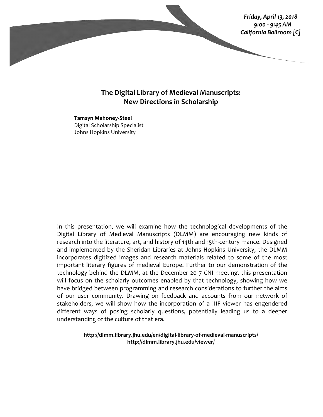

## **The Digital Library of Medieval Manuscripts: New Directions in Scholarship**

**Tamsyn Mahoney-Steel** Digital Scholarship Specialist Johns Hopkins University

In this presentation, we will examine how the technological developments of the Digital Library of Medieval Manuscripts (DLMM) are encouraging new kinds of research into the literature, art, and history of 14th and 15th-century France. Designed and implemented by the Sheridan Libraries at Johns Hopkins University, the DLMM incorporates digitized images and research materials related to some of the most important literary figures of medieval Europe. Further to our demonstration of the technology behind the DLMM, at the December 2017 CNI meeting, this presentation will focus on the scholarly outcomes enabled by that technology, showing how we have bridged between programming and research considerations to further the aims of our user community. Drawing on feedback and accounts from our network of stakeholders, we will show how the incorporation of a IIIF viewer has engendered different ways of posing scholarly questions, potentially leading us to a deeper understanding of the culture of that era.

> **http://dlmm.library.jhu.edu/en/digital-library-of-medieval-manuscripts/ http://dlmm.library.jhu.edu/viewer/**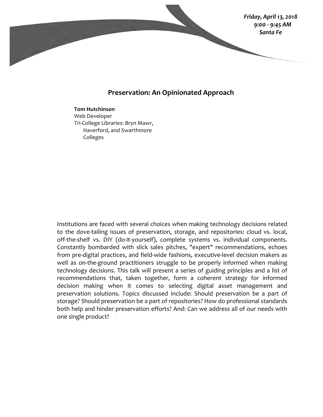

## **Preservation: An Opinionated Approach**

#### **Tom Hutchinson**

Web Developer Tri-College Libraries: Bryn Mawr, Haverford, and Swarthmore Colleges

Institutions are faced with several choices when making technology decisions related to the dove-tailing issues of preservation, storage, and repositories: cloud vs. local, off-the-shelf vs. DIY (do-it-yourself), complete systems vs. individual components. Constantly bombarded with slick sales pitches, "expert" recommendations, echoes from pre-digital practices, and field-wide fashions, executive-level decision makers as well as on-the-ground practitioners struggle to be properly informed when making technology decisions. This talk will present a series of guiding principles and a list of recommendations that, taken together, form a coherent strategy for informed decision making when it comes to selecting digital asset management and preservation solutions. Topics discussed include: Should preservation be a part of storage? Should preservation be a part of repositories? How do professional standards both help and hinder preservation efforts? And: Can we address all of our needs with one single product?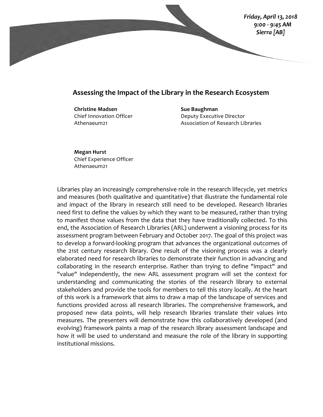

## Assessing the Impact of the Library in the Research Ecosystem

**Christine Madsen** Chief Innovation Officer Athenaeum21

**Sue Baughman** Deputy Executive Director Association of Research Libraries

**Megan Hurst** Chief Experience Officer Athenaeum21

Libraries play an increasingly comprehensive role in the research lifecycle, yet metrics and measures (both qualitative and quantitative) that illustrate the fundamental role and impact of the library in research still need to be developed. Research libraries need first to define the values by which they want to be measured, rather than trying to manifest those values from the data that they have traditionally collected. To this end, the Association of Research Libraries (ARL) underwent a visioning process for its assessment program between February and October 2017. The goal of this project was to develop a forward-looking program that advances the organizational outcomes of the 21st century research library. One result of the visioning process was a clearly elaborated need for research libraries to demonstrate their function in advancing and collaborating in the research enterprise. Rather than trying to define "impact" and "value" independently, the new ARL assessment program will set the context for understanding and communicating the stories of the research library to external stakeholders and provide the tools for members to tell this story locally. At the heart of this work is a framework that aims to draw a map of the landscape of services and functions provided across all research libraries. The comprehensive framework, and proposed new data points, will help research libraries translate their values into measures. The presenters will demonstrate how this collaboratively developed (and evolving) framework paints a map of the research library assessment landscape and how it will be used to understand and measure the role of the library in supporting institutional missions.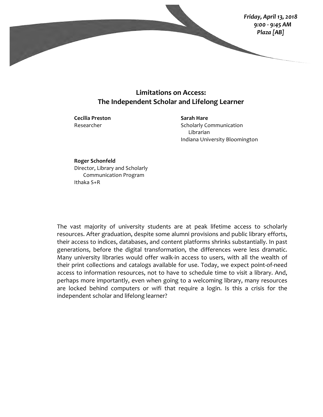

## **Limitations on Access: The Independent Scholar and Lifelong Learner**

**Cecilia Preston** Researcher

**Sarah Hare** Scholarly Communication Librarian Indiana University Bloomington

**Roger Schonfeld** Director, Library and Scholarly Communication Program Ithaka S+R

The vast majority of university students are at peak lifetime access to scholarly resources. After graduation, despite some alumni provisions and public library efforts, their access to indices, databases, and content platforms shrinks substantially. In past generations, before the digital transformation, the differences were less dramatic. Many university libraries would offer walk-in access to users, with all the wealth of their print collections and catalogs available for use. Today, we expect point-of-need access to information resources, not to have to schedule time to visit a library. And, perhaps more importantly, even when going to a welcoming library, many resources are locked behind computers or wifi that require a login. Is this a crisis for the independent scholar and lifelong learner?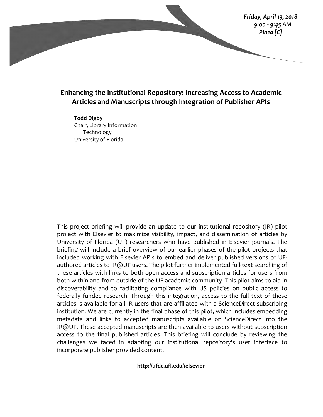*Friday, April 13, 2018 9:00 - 9:45 AM Plaza [C]*

## **Enhancing the Institutional Repository: Increasing Access to Academic** Articles and Manuscripts through Integration of Publisher APIs

**Todd Digby** Chair, Library Information Technology University of Florida

This project briefing will provide an update to our institutional repository (IR) pilot project with Elsevier to maximize visibility, impact, and dissemination of articles by University of Florida (UF) researchers who have published in Elsevier journals. The briefing will include a brief overview of our earlier phases of the pilot projects that included working with Elsevier APIs to embed and deliver published versions of UFauthored articles to IR@UF users. The pilot further implemented full-text searching of these articles with links to both open access and subscription articles for users from both within and from outside of the UF academic community. This pilot aims to aid in discoverability and to facilitating compliance with US policies on public access to federally funded research. Through this integration, access to the full text of these articles is available for all IR users that are affiliated with a ScienceDirect subscribing institution. We are currently in the final phase of this pilot, which includes embedding metadata and links to accepted manuscripts available on ScienceDirect into the  $IR@UF.$  These accepted manuscripts are then available to users without subscription access to the final published articles. This briefing will conclude by reviewing the challenges we faced in adapting our institutional repository's user interface to incorporate publisher provided content.

**http://ufdc.ufl.edu/ielsevier**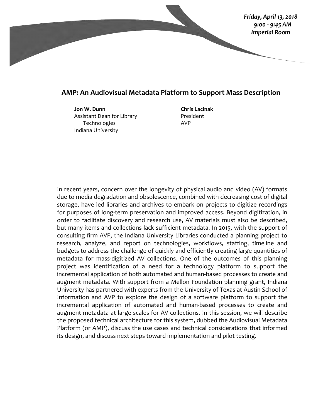

## **AMP: An Audiovisual Metadata Platform to Support Mass Description**

**Jon W. Dunn** Assistant Dean for Library **Technologies** Indiana University

**Chris Lacinak** President AVP

In recent years, concern over the longevity of physical audio and video (AV) formats due to media degradation and obsolescence, combined with decreasing cost of digital storage, have led libraries and archives to embark on projects to digitize recordings for purposes of long-term preservation and improved access. Beyond digitization, in order to facilitate discovery and research use, AV materials must also be described, but many items and collections lack sufficient metadata. In 2015, with the support of consulting firm AVP, the Indiana University Libraries conducted a planning project to research, analyze, and report on technologies, workflows, staffing, timeline and budgets to address the challenge of quickly and efficiently creating large quantities of metadata for mass-digitized AV collections. One of the outcomes of this planning project was identification of a need for a technology platform to support the incremental application of both automated and human-based processes to create and augment metadata. With support from a Mellon Foundation planning grant, Indiana University has partnered with experts from the University of Texas at Austin School of Information and AVP to explore the design of a software platform to support the incremental application of automated and human-based processes to create and augment metadata at large scales for AV collections. In this session, we will describe the proposed technical architecture for this system, dubbed the Audiovisual Metadata Platform (or AMP), discuss the use cases and technical considerations that informed its design, and discuss next steps toward implementation and pilot testing.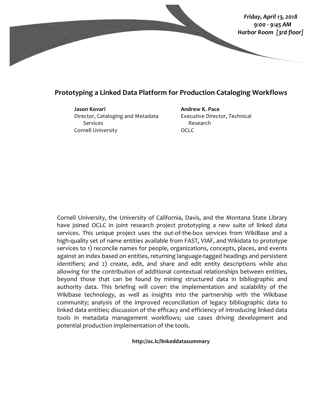

## **Prototyping a Linked Data Platform for Production Cataloging Workflows**

**Jason Kovari**

Director, Cataloging and Metadata Services Cornell University

**Andrew K. Pace** Executive Director, Technical Research OCLC

Cornell University, the University of California, Davis, and the Montana State Library have joined OCLC in joint research project prototyping a new suite of linked data services. This unique project uses the out-of-the-box services from WikiBase and a high-quality set of name entities available from FAST, VIAF, and Wikidata to prototype services to 1) reconcile names for people, organizations, concepts, places, and events against an index based on entities, returning language-tagged headings and persistent identifiers; and 2) create, edit, and share and edit entity descriptions while also allowing for the contribution of additional contextual relationships between entities, beyond those that can be found by mining structured data in bibliographic and authority data. This briefing will cover: the implementation and scalability of the Wikibase technology, as well as insights into the partnership with the Wikibase community; analysis of the improved reconciliation of legacy bibliographic data to linked data entities; discussion of the efficacy and efficiency of introducing linked data tools in metadata management workflows; use cases driving development and potential production implementation of the tools.

**http://oc.lc/linkeddatasummary**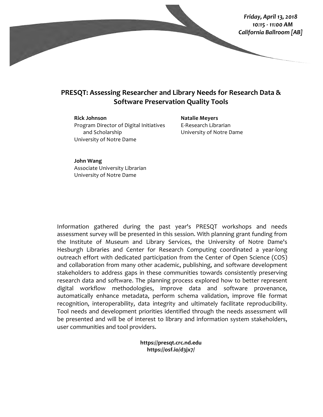

## **PRESQT: Assessing Researcher and Library Needs for Research Data & Software Preservation Quality Tools**

**Rick Johnson** Program Director of Digital Initiatives and Scholarship University of Notre Dame

**Natalie Meyers** E-Research Librarian University of Notre Dame

**John Wang** Associate University Librarian University of Notre Dame

Information gathered during the past year's PRESQT workshops and needs assessment survey will be presented in this session. With planning grant funding from the Institute of Museum and Library Services, the University of Notre Dame's Hesburgh Libraries and Center for Research Computing coordinated a year-long outreach effort with dedicated participation from the Center of Open Science (COS) and collaboration from many other academic, publishing, and software development stakeholders to address gaps in these communities towards consistently preserving research data and software. The planning process explored how to better represent digital workflow methodologies, improve data and software provenance, automatically enhance metadata, perform schema validation, improve file format recognition, interoperability, data integrity and ultimately facilitate reproducibility. Tool needs and development priorities identified through the needs assessment will be presented and will be of interest to library and information system stakeholders, user communities and tool providers.

> **https://presqt.crc.nd.edu https://osf.io/d3jx7/**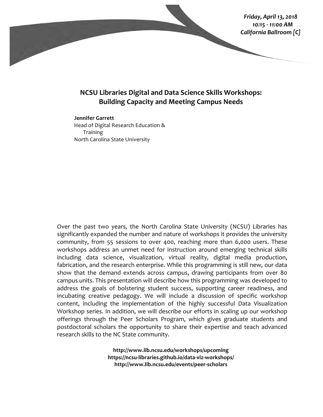

## **NCSU Libraries Digital and Data Science Skills Workshops: Building Capacity and Meeting Campus Needs**

#### **Jennifer Garrett**

Head of Digital Research Education & **Training** North Carolina State University

Over the past two years, the North Carolina State University (NCSU) Libraries has significantly expanded the number and nature of workshops it provides the university community, from 55 sessions to over 400, reaching more than 6,000 users. These workshops address an unmet need for instruction around emerging technical skills including data science, visualization, virtual reality, digital media production, fabrication, and the research enterprise. While this programming is still new, our data show that the demand extends across campus, drawing participants from over 80 campus units. This presentation will describe how this programming was developed to address the goals of bolstering student success, supporting career readiness, and incubating creative pedagogy. We will include a discussion of specific workshop content, including the implementation of the highly successful Data Visualization Workshop series. In addition, we will describe our efforts in scaling up our workshop offerings through the Peer Scholars Program, which gives graduate students and postdoctoral scholars the opportunity to share their expertise and teach advanced research skills to the NC State community.

> **http://www.lib.ncsu.edu/workshops/upcoming https://ncsu-libraries.github.io/data-viz-workshops/ http://www.lib.ncsu.edu/events/peer-scholars**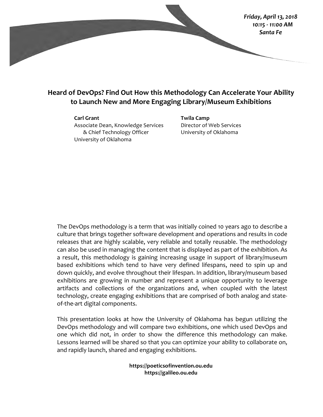

# **Heard of DevOps? Find Out How this Methodology Can Accelerate Your Ability** to Launch New and More Engaging Library/Museum Exhibitions

#### **Carl Grant**

Associate Dean, Knowledge Services & Chief Technology Officer University of Oklahoma

**Twila Camp** Director of Web Services University of Oklahoma

The DevOps methodology is a term that was initially coined 10 years ago to describe a culture that brings together software development and operations and results in code releases that are highly scalable, very reliable and totally reusable. The methodology can also be used in managing the content that is displayed as part of the exhibition. As a result, this methodology is gaining increasing usage in support of library/museum based exhibitions which tend to have very defined lifespans, need to spin up and down quickly, and evolve throughout their lifespan. In addition, library/museum based exhibitions are growing in number and represent a unique opportunity to leverage artifacts and collections of the organizations and, when coupled with the latest technology, create engaging exhibitions that are comprised of both analog and stateof-the-art digital components.

This presentation looks at how the University of Oklahoma has begun utilizing the DevOps methodology and will compare two exhibitions, one which used DevOps and one which did not, in order to show the difference this methodology can make. Lessons learned will be shared so that you can optimize your ability to collaborate on, and rapidly launch, shared and engaging exhibitions.

> **https://poeticsofinvention.ou.edu https://galileo.ou.edu**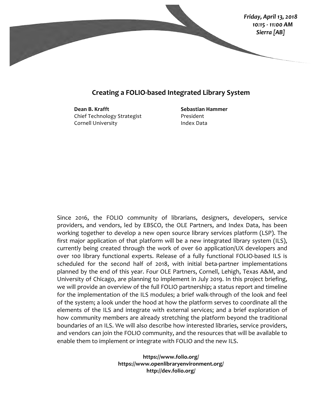

## **Creating a FOLIO-based Integrated Library System**

**Dean B. Krafft** Chief Technology Strategist Cornell University

**Sebastian Hammer** President Index Data

Since 2016, the FOLIO community of librarians, designers, developers, service providers, and vendors, led by EBSCO, the OLE Partners, and Index Data, has been working together to develop a new open source library services platform (LSP). The first major application of that platform will be a new integrated library system (ILS), currently being created through the work of over 60 application/UX developers and over 100 library functional experts. Release of a fully functional FOLIO-based ILS is scheduled for the second half of 2018, with initial beta-partner implementations planned by the end of this year. Four OLE Partners, Cornell, Lehigh, Texas A&M, and University of Chicago, are planning to implement in July 2019. In this project briefing, we will provide an overview of the full FOLIO partnership; a status report and timeline for the implementation of the ILS modules; a brief walk-through of the look and feel of the system; a look under the hood at how the platform serves to coordinate all the elements of the ILS and integrate with external services; and a brief exploration of how community members are already stretching the platform beyond the traditional boundaries of an ILS. We will also describe how interested libraries, service providers, and vendors can join the FOLIO community, and the resources that will be available to enable them to implement or integrate with FOLIO and the new ILS.

> **https://www.folio.org/ https://www.openlibraryenvironment.org/ http://dev.folio.org/**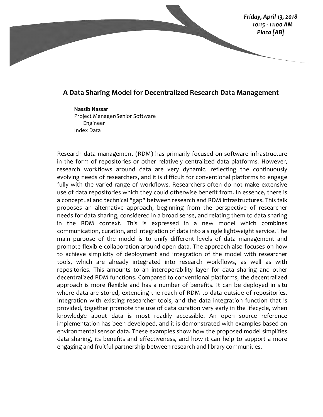## *Friday, April 13, 2018 10:15 - 11:00 AM Plaza [AB]*

## **A Data Sharing Model for Decentralized Research Data Management**

**Nassib Nassar** Project Manager/Senior Software Engineer Index Data

Research data management (RDM) has primarily focused on software infrastructure in the form of repositories or other relatively centralized data platforms. However, research workflows around data are very dynamic, reflecting the continuously evolving needs of researchers, and it is difficult for conventional platforms to engage fully with the varied range of workflows. Researchers often do not make extensive use of data repositories which they could otherwise benefit from. In essence, there is a conceptual and technical "gap" between research and RDM infrastructures. This talk proposes an alternative approach, beginning from the perspective of researcher needs for data sharing, considered in a broad sense, and relating them to data sharing in the RDM context. This is expressed in a new model which combines communication, curation, and integration of data into a single lightweight service. The main purpose of the model is to unify different levels of data management and promote flexible collaboration around open data. The approach also focuses on how to achieve simplicity of deployment and integration of the model with researcher tools, which are already integrated into research workflows, as well as with repositories. This amounts to an interoperability layer for data sharing and other decentralized RDM functions. Compared to conventional platforms, the decentralized approach is more flexible and has a number of benefits. It can be deployed in situ where data are stored, extending the reach of RDM to data outside of repositories. Integration with existing researcher tools, and the data integration function that is provided, together promote the use of data curation very early in the lifecycle, when knowledge about data is most readily accessible. An open source reference implementation has been developed, and it is demonstrated with examples based on environmental sensor data. These examples show how the proposed model simplifies data sharing, its benefits and effectiveness, and how it can help to support a more engaging and fruitful partnership between research and library communities.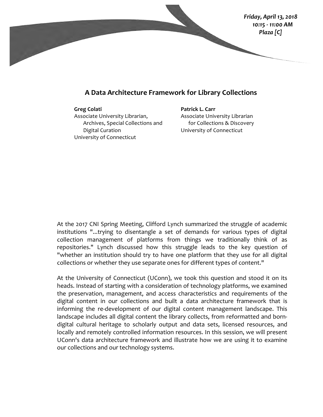

## **A Data Architecture Framework for Library Collections**

**Greg Colati** Associate University Librarian, Archives, Special Collections and Digital Curation University of Connecticut

**Patrick L. Carr** Associate University Librarian for Collections & Discovery University of Connecticut

At the 2017 CNI Spring Meeting, Clifford Lynch summarized the struggle of academic institutions "...trying to disentangle a set of demands for various types of digital collection management of platforms from things we traditionally think of as repositories." Lynch discussed how this struggle leads to the key question of "whether an institution should try to have one platform that they use for all digital collections or whether they use separate ones for different types of content."

At the University of Connecticut (UConn), we took this question and stood it on its heads. Instead of starting with a consideration of technology platforms, we examined the preservation, management, and access characteristics and requirements of the digital content in our collections and built a data architecture framework that is informing the re-development of our digital content management landscape. This landscape includes all digital content the library collects, from reformatted and borndigital cultural heritage to scholarly output and data sets, licensed resources, and locally and remotely controlled information resources. In this session, we will present UConn's data architecture framework and illustrate how we are using it to examine our collections and our technology systems.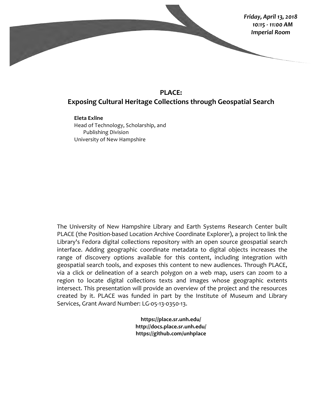

# **PLACE: Exposing Cultural Heritage Collections through Geospatial Search**

**Eleta Exline** Head of Technology, Scholarship, and Publishing Division University of New Hampshire

The University of New Hampshire Library and Earth Systems Research Center built PLACE (the Position-based Location Archive Coordinate Explorer), a project to link the Library's Fedora digital collections repository with an open source geospatial search interface. Adding geographic coordinate metadata to digital objects increases the range of discovery options available for this content, including integration with geospatial search tools, and exposes this content to new audiences. Through PLACE, via a click or delineation of a search polygon on a web map, users can zoom to a region to locate digital collections texts and images whose geographic extents intersect. This presentation will provide an overview of the project and the resources created by it. PLACE was funded in part by the Institute of Museum and Library Services, Grant Award Number: LG-05-13-0350-13.

> **https://place.sr.unh.edu/ http://docs.place.sr.unh.edu/ https://github.com/unhplace**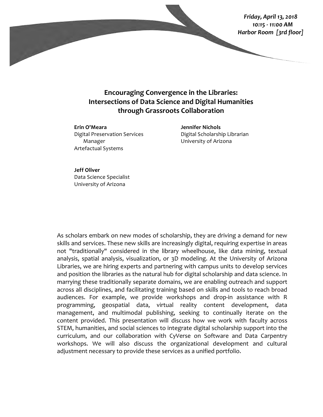*Friday, April 13, 2018 10:15 - 11:00 AM Harbor Room [3rd floor]*

# **Encouraging Convergence in the Libraries: Intersections of Data Science and Digital Humanities through Grassroots Collaboration**

**Erin O'Meara** Digital Preservation Services Manager Artefactual Systems

**Jennifer Nichols** Digital Scholarship Librarian University of Arizona

### **Jeff Oliver**

Data Science Specialist University of Arizona

As scholars embark on new modes of scholarship, they are driving a demand for new skills and services. These new skills are increasingly digital, requiring expertise in areas not "traditionally" considered in the library wheelhouse, like data mining, textual analysis, spatial analysis, visualization, or 3D modeling. At the University of Arizona Libraries, we are hiring experts and partnering with campus units to develop services and position the libraries as the natural hub for digital scholarship and data science. In marrying these traditionally separate domains, we are enabling outreach and support across all disciplines, and facilitating training based on skills and tools to reach broad audiences. For example, we provide workshops and drop-in assistance with R programming, geospatial data, virtual reality content development, data management, and multimodal publishing, seeking to continually iterate on the content provided. This presentation will discuss how we work with faculty across STEM, humanities, and social sciences to integrate digital scholarship support into the curriculum, and our collaboration with CyVerse on Software and Data Carpentry workshops. We will also discuss the organizational development and cultural adjustment necessary to provide these services as a unified portfolio.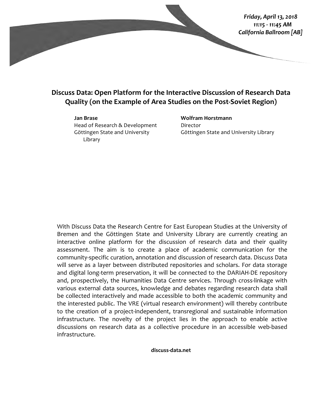

# **Discuss Data: Open Platform for the Interactive Discussion of Research Data Quality (on the Example of Area Studies on the Post-Soviet Region)**

#### **Jan Brase**

Head of Research & Development Göttingen State and University Library

## **Wolfram Horstmann** Director Göttingen State and University Library

With Discuss Data the Research Centre for East European Studies at the University of Bremen and the Göttingen State and University Library are currently creating an interactive online platform for the discussion of research data and their quality assessment. The aim is to create a place of academic communication for the community-specific curation, annotation and discussion of research data. Discuss Data will serve as a layer between distributed repositories and scholars. For data storage and digital long-term preservation, it will be connected to the DARIAH-DE repository and, prospectively, the Humanities Data Centre services. Through cross-linkage with various external data sources, knowledge and debates regarding research data shall be collected interactively and made accessible to both the academic community and the interested public. The VRE (virtual research environment) will thereby contribute to the creation of a project-independent, transregional and sustainable information infrastructure. The novelty of the project lies in the approach to enable active discussions on research data as a collective procedure in an accessible web-based infrastructure.

#### **discuss-data.net**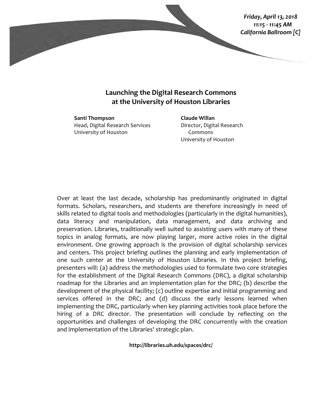

## **Launching the Digital Research Commons at the University of Houston Libraries**

**Santi Thompson** Head, Digital Research Services University of Houston

**Claude Willan** Director, Digital Research Commons University of Houston

Over at least the last decade, scholarship has predominantly originated in digital formats. Scholars, researchers, and students are therefore increasingly in need of skills related to digital tools and methodologies (particularly in the digital humanities), data literacy and manipulation, data management, and data archiving and preservation. Libraries, traditionally well suited to assisting users with many of these topics in analog formats, are now playing larger, more active roles in the digital environment. One growing approach is the provision of digital scholarship services and centers. This project briefing outlines the planning and early implementation of one such center at the University of Houston Libraries. In this project briefing, presenters will: (a) address the methodologies used to formulate two core strategies for the establishment of the Digital Research Commons (DRC), a digital scholarship roadmap for the Libraries and an implementation plan for the DRC; (b) describe the development of the physical facility;  $(c)$  outline expertise and initial programming and services offered in the DRC; and (d) discuss the early lessons learned when implementing the DRC, particularly when key planning activities took place before the hiring of a DRC director. The presentation will conclude by reflecting on the opportunities and challenges of developing the DRC concurrently with the creation and implementation of the Libraries' strategic plan.

**http://libraries.uh.edu/spaces/drc/**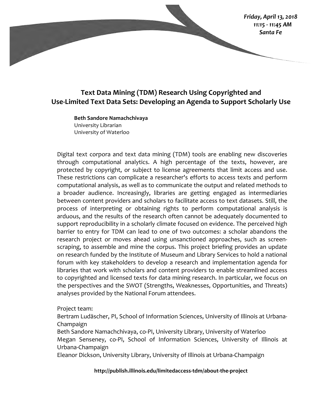## *Friday, April 13, 2018 11:15 - 11:45 AM Santa Fe*

# Text Data Mining (TDM) Research Using Copyrighted and Use-Limited Text Data Sets: Developing an Agenda to Support Scholarly Use

**Beth Sandore Namachchivaya** University Librarian University of Waterloo

Digital text corpora and text data mining (TDM) tools are enabling new discoveries through computational analytics. A high percentage of the texts, however, are protected by copyright, or subject to license agreements that limit access and use. These restrictions can complicate a researcher's efforts to access texts and perform computational analysis, as well as to communicate the output and related methods to a broader audience. Increasingly, libraries are getting engaged as intermediaries between content providers and scholars to facilitate access to text datasets. Still, the process of interpreting or obtaining rights to perform computational analysis is arduous, and the results of the research often cannot be adequately documented to support reproducibility in a scholarly climate focused on evidence. The perceived high barrier to entry for TDM can lead to one of two outcomes: a scholar abandons the research project or moves ahead using unsanctioned approaches, such as screenscraping, to assemble and mine the corpus. This project briefing provides an update on research funded by the Institute of Museum and Library Services to hold a national forum with key stakeholders to develop a research and implementation agenda for libraries that work with scholars and content providers to enable streamlined access to copyrighted and licensed texts for data mining research. In particular, we focus on the perspectives and the SWOT (Strengths, Weaknesses, Opportunities, and Threats) analyses provided by the National Forum attendees.

Project team:

Bertram Ludäscher, PI, School of Information Sciences, University of Illinois at Urbana-Champaign

Beth Sandore Namachchivaya, co-PI, University Library, University of Waterloo Megan Senseney, co-PI, School of Information Sciences, University of Illinois at Urbana-Champaign

Eleanor Dickson, University Library, University of Illinois at Urbana-Champaign

**http://publish.illinois.edu/limitedaccess-tdm/about-the-project**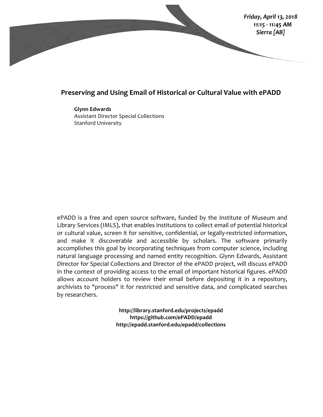

## **Preserving and Using Email of Historical or Cultural Value with ePADD**

**Glynn Edwards Assistant Director Special Collections** Stanford University

ePADD is a free and open source software, funded by the Institute of Museum and Library Services (IMLS), that enables institutions to collect email of potential historical or cultural value, screen it for sensitive, confidential, or legally-restricted information, and make it discoverable and accessible by scholars. The software primarily accomplishes this goal by incorporating techniques from computer science, including natural language processing and named entity recognition. Glynn Edwards, Assistant Director for Special Collections and Director of the ePADD project, will discuss ePADD in the context of providing access to the email of important historical figures. ePADD allows account holders to review their email before depositing it in a repository, archivists to "process" it for restricted and sensitive data, and complicated searches by researchers.

> **http://library.stanford.edu/projects/epadd https://github.com/ePADD/epadd http://epadd.stanford.edu/epadd/collections**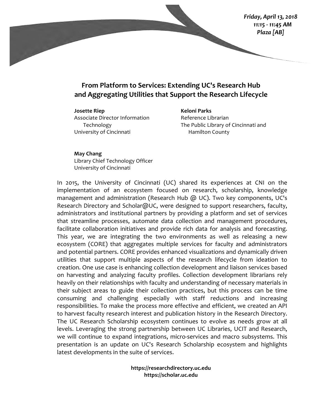# From Platform to Services: Extending UC's Research Hub and Aggregating Utilities that Support the Research Lifecycle

**Josette Riep** Associate Director Information Technology University of Cincinnati

**Keloni Parks** Reference Librarian The Public Library of Cincinnati and Hamilton County

### **May Chang**

Library Chief Technology Officer University of Cincinnati

In 2015, the University of Cincinnati (UC) shared its experiences at CNI on the implementation of an ecosystem focused on research, scholarship, knowledge management and administration (Research Hub  $\omega$  UC). Two key components, UC's Research Directory and Scholar@UC, were designed to support researchers, faculty, administrators and institutional partners by providing a platform and set of services that streamline processes, automate data collection and management procedures, facilitate collaboration initiatives and provide rich data for analysis and forecasting. This year, we are integrating the two environments as well as releasing a new ecosystem (CORE) that aggregates multiple services for faculty and administrators and potential partners. CORE provides enhanced visualizations and dynamically driven utilities that support multiple aspects of the research lifecycle from ideation to creation. One use case is enhancing collection development and liaison services based on harvesting and analyzing faculty profiles. Collection development librarians rely heavily on their relationships with faculty and understanding of necessary materials in their subject areas to guide their collection practices, but this process can be time consuming and challenging especially with staff reductions and increasing responsibilities. To make the process more effective and efficient, we created an API to harvest faculty research interest and publication history in the Research Directory. The UC Research Scholarship ecosystem continues to evolve as needs grow at all levels. Leveraging the strong partnership between UC Libraries, UCIT and Research, we will continue to expand integrations, micro-services and macro subsystems. This presentation is an update on UC's Research Scholarship ecosystem and highlights latest developments in the suite of services.

> **https://researchdirectory.uc.edu https://scholar.uc.edu**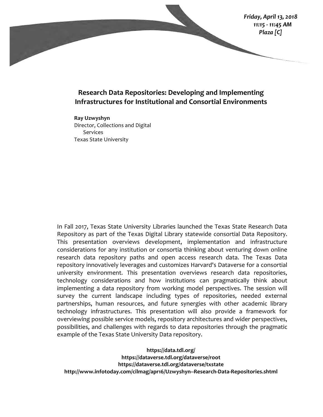

## **Research Data Repositories: Developing and Implementing Infrastructures for Institutional and Consortial Environments**

**Ray Uzwyshyn** Director, Collections and Digital Services Texas State University

In Fall 2017, Texas State University Libraries launched the Texas State Research Data Repository as part of the Texas Digital Library statewide consortial Data Repository. This presentation overviews development, implementation and infrastructure considerations for any institution or consortia thinking about venturing down online research data repository paths and open access research data. The Texas Data repository innovatively leverages and customizes Harvard's Dataverse for a consortial university environment. This presentation overviews research data repositories, technology considerations and how institutions can pragmatically think about implementing a data repository from working model perspectives. The session will survey the current landscape including types of repositories, needed external partnerships, human resources, and future synergies with other academic library technology infrastructures. This presentation will also provide a framework for overviewing possible service models, repository architectures and wider perspectives, possibilities, and challenges with regards to data repositories through the pragmatic example of the Texas State University Data repository.

**https://data.tdl.org/ https://dataverse.tdl.org/dataverse/root https://dataverse.tdl.org/dataverse/txstate http://www.infotoday.com/cilmag/apr16/Uzwyshyn--Research-Data-Repositories.shtml**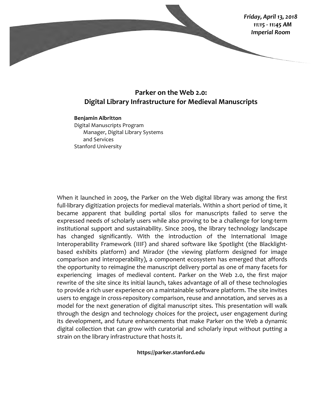

## **Parker on the Web 2.0: Digital Library Infrastructure for Medieval Manuscripts**

#### **Benjamin Albritton**

Digital Manuscripts Program Manager, Digital Library Systems and Services Stanford University

When it launched in 2009, the Parker on the Web digital library was among the first full-library digitization projects for medieval materials. Within a short period of time, it became apparent that building portal silos for manuscripts failed to serve the expressed needs of scholarly users while also proving to be a challenge for long-term institutional support and sustainability. Since 2009, the library technology landscape has changed significantly. With the introduction of the International Image Interoperability Framework (IIIF) and shared software like Spotlight (the Blacklightbased exhibits platform) and Mirador (the viewing platform designed for image comparison and interoperability), a component ecosystem has emerged that affords the opportunity to reimagine the manuscript delivery portal as one of many facets for experiencing images of medieval content. Parker on the Web 2.0, the first major rewrite of the site since its initial launch, takes advantage of all of these technologies to provide a rich user experience on a maintainable software platform. The site invites users to engage in cross-repository comparison, reuse and annotation, and serves as a model for the next generation of digital manuscript sites. This presentation will walk through the design and technology choices for the project, user engagement during its development, and future enhancements that make Parker on the Web a dynamic digital collection that can grow with curatorial and scholarly input without putting a strain on the library infrastructure that hosts it.

**https://parker.stanford.edu**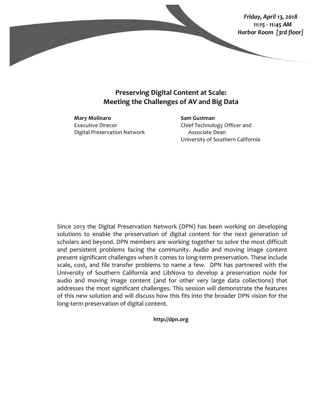

# **Preserving Digital Content at Scale: Meeting the Challenges of AV and Big Data**

**Mary Molinaro** Executive Direcor Digital Preservation Network

**Sam Gustman** Chief Technology Officer and Associate Dean University of Southern California

Since 2013 the Digital Preservation Network (DPN) has been working on developing solutions to enable the preservation of digital content for the next generation of scholars and beyond. DPN members are working together to solve the most difficult and persistent problems facing the community. Audio and moving image content present significant challenges when it comes to long-term preservation. These include scale, cost, and file transfer problems to name a few. DPN has partnered with the University of Southern California and LibNova to develop a preservation node for audio and moving image content (and for other very large data collections) that addresses the most significant challenges. This session will demonstrate the features of this new solution and will discuss how this fits into the broader DPN vision for the long-term preservation of digital content.

**http://dpn.org**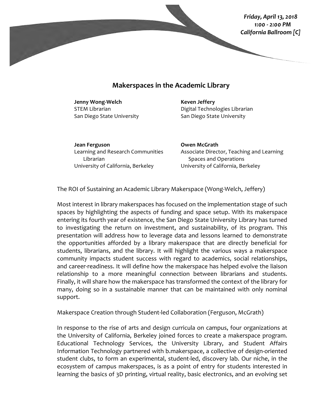*Friday, April 13, 2018 1:00 - 2:00 PM California Ballroom [C]*

## **Makerspaces in the Academic Library**

**Jenny Wong-Welch** STEM Librarian San Diego State University

### **Keven Jeffery**

Digital Technologies Librarian San Diego State University

**Jean Ferguson** Learning and Research Communities Librarian University of California, Berkeley

**Owen McGrath** Associate Director, Teaching and Learning Spaces and Operations University of California, Berkeley

The ROI of Sustaining an Academic Library Makerspace (Wong-Welch, Jeffery)

Most interest in library makerspaces has focused on the implementation stage of such spaces by highlighting the aspects of funding and space setup. With its makerspace entering its fourth year of existence, the San Diego State University Library has turned to investigating the return on investment, and sustainability, of its program. This presentation will address how to leverage data and lessons learned to demonstrate the opportunities afforded by a library makerspace that are directly beneficial for students, librarians, and the library. It will highlight the various ways a makerspace community impacts student success with regard to academics, social relationships, and career-readiness. It will define how the makerspace has helped evolve the liaison relationship to a more meaningful connection between librarians and students. Finally, it will share how the makerspace has transformed the context of the library for many, doing so in a sustainable manner that can be maintained with only nominal support.

Makerspace Creation through Student-led Collaboration (Ferguson, McGrath)

In response to the rise of arts and design curricula on campus, four organizations at the University of California, Berkeley joined forces to create a makerspace program. Educational Technology Services, the University Library, and Student Affairs Information Technology partnered with b.makerspace, a collective of design-oriented student clubs, to form an experimental, student-led, discovery lab. Our niche, in the ecosystem of campus makerspaces, is as a point of entry for students interested in learning the basics of 3D printing, virtual reality, basic electronics, and an evolving set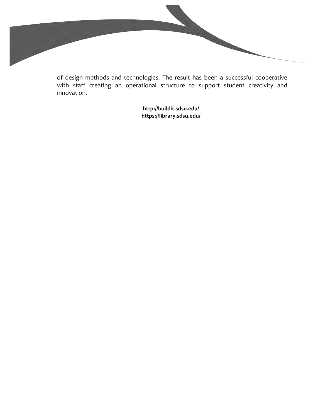of design methods and technologies. The result has been a successful cooperative with staff creating an operational structure to support student creativity and innovation.

**http://buildit.sdsu.edu/ https://library.sdsu.edu/**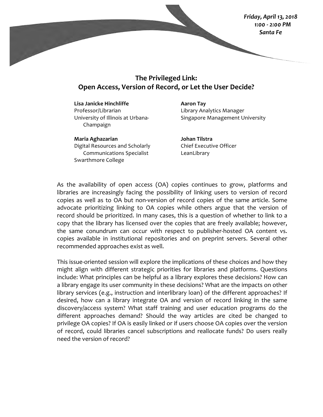*Friday, April 13, 2018 1:00 - 2:00 PM Santa Fe*

# **The Privileged Link: Open Access, Version of Record, or Let the User Decide?**

**Lisa Janicke Hinchliffe** Professor/Librarian University of Illinois at Urbana-Champaign

**Maria Aghazarian** Digital Resources and Scholarly Communications Specialist Swarthmore College

**Aaron Tay** Library Analytics Manager Singapore Management University

**Johan Tilstra**  Chief Executive Officer LeanLibrary

As the availability of open access (OA) copies continues to grow, platforms and libraries are increasingly facing the possibility of linking users to version of record copies as well as to OA but non-version of record copies of the same article. Some advocate prioritizing linking to OA copies while others argue that the version of record should be prioritized. In many cases, this is a question of whether to link to a copy that the library has licensed over the copies that are freely available; however, the same conundrum can occur with respect to publisher-hosted OA content vs. copies available in institutional repositories and on preprint servers. Several other recommended approaches exist as well.

This issue-oriented session will explore the implications of these choices and how they might align with different strategic priorities for libraries and platforms. Questions include: What principles can be helpful as a library explores these decisions? How can a library engage its user community in these decisions? What are the impacts on other library services (e.g., instruction and interlibrary loan) of the different approaches? If desired, how can a library integrate OA and version of record linking in the same discovery/access system? What staff training and user education programs do the different approaches demand? Should the way articles are cited be changed to privilege OA copies? If OA is easily linked or if users choose OA copies over the version of record, could libraries cancel subscriptions and reallocate funds? Do users really need the version of record?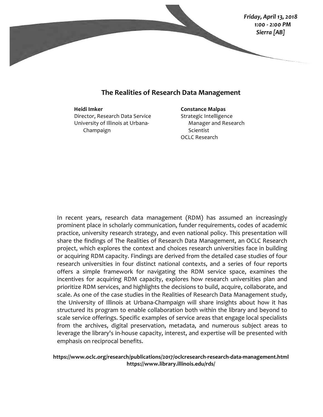

## **The Realities of Research Data Management**

#### **Heidi Imker**

Director, Research Data Service University of Illinois at Urbana-Champaign

#### **Constance Malpas**

Strategic Intelligence Manager and Research Scientist OCLC Research

In recent years, research data management (RDM) has assumed an increasingly prominent place in scholarly communication, funder requirements, codes of academic practice, university research strategy, and even national policy. This presentation will share the findings of The Realities of Research Data Management, an OCLC Research project, which explores the context and choices research universities face in building or acquiring RDM capacity. Findings are derived from the detailed case studies of four research universities in four distinct national contexts, and a series of four reports offers a simple framework for navigating the RDM service space, examines the incentives for acquiring RDM capacity, explores how research universities plan and prioritize RDM services, and highlights the decisions to build, acquire, collaborate, and scale. As one of the case studies in the Realities of Research Data Management study, the University of Illinois at Urbana-Champaign will share insights about how it has structured its program to enable collaboration both within the library and beyond to scale service offerings. Specific examples of service areas that engage local specialists from the archives, digital preservation, metadata, and numerous subject areas to leverage the library's in-house capacity, interest, and expertise will be presented with emphasis on reciprocal benefits.

## **https://www.oclc.org/research/publications/2017/oclcresearch-research-data-management.html https://www.library.illinois.edu/rds/**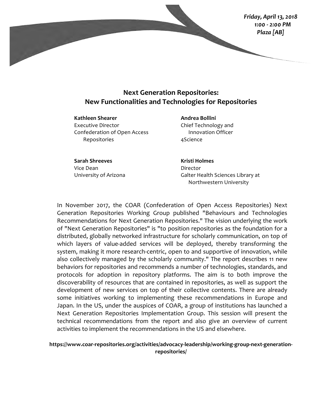

## **Next Generation Repositories: New Functionalities and Technologies for Repositories**

**Kathleen Shearer** Executive Director Confederation of Open Access Repositories

**Andrea Bollini** Chief Technology and Innovation Officer 4Science

**Sarah Shreeves** Vice Dean University of Arizona **Kristi Holmes** Director Galter Health Sciences Library at Northwestern University

In November 2017, the COAR (Confederation of Open Access Repositories) Next Generation Repositories Working Group published "Behaviours and Technologies Recommendations for Next Generation Repositories." The vision underlying the work of "Next Generation Repositories" is "to position repositories as the foundation for a distributed, globally networked infrastructure for scholarly communication, on top of which layers of value-added services will be deployed, thereby transforming the system, making it more research-centric, open to and supportive of innovation, while also collectively managed by the scholarly community." The report describes 11 new behaviors for repositories and recommends a number of technologies, standards, and protocols for adoption in repository platforms. The aim is to both improve the discoverability of resources that are contained in repositories, as well as support the development of new services on top of their collective contents. There are already some initiatives working to implementing these recommendations in Europe and Japan. In the US, under the auspices of COAR, a group of institutions has launched a Next Generation Repositories Implementation Group. This session will present the technical recommendations from the report and also give an overview of current activities to implement the recommendations in the US and elsewhere.

**https://www.coar-repositories.org/activities/advocacy-leadership/working-group-next-generationrepositories/**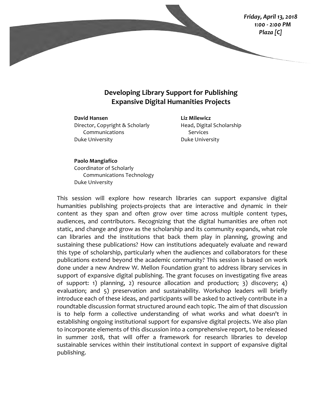

## **Developing Library Support for Publishing Expansive Digital Humanities Projects**

**David Hansen** Director, Copyright & Scholarly Communications Duke University

**Liz Milewicz** Head, Digital Scholarship Services Duke University

**Paolo Mangiafico** Coordinator of Scholarly Communications Technology Duke University

This session will explore how research libraries can support expansive digital humanities publishing projects-projects that are interactive and dynamic in their content as they span and often grow over time across multiple content types, audiences, and contributors. Recognizing that the digital humanities are often not static, and change and grow as the scholarship and its community expands, what role can libraries and the institutions that back them play in planning, growing and sustaining these publications? How can institutions adequately evaluate and reward this type of scholarship, particularly when the audiences and collaborators for these publications extend beyond the academic community? This session is based on work done under a new Andrew W. Mellon Foundation grant to address library services in support of expansive digital publishing. The grant focuses on investigating five areas of support: 1) planning, 2) resource allocation and production; 3) discovery; 4) evaluation; and 5) preservation and sustainability. Workshop leaders will briefly introduce each of these ideas, and participants will be asked to actively contribute in a roundtable discussion format structured around each topic. The aim of that discussion is to help form a collective understanding of what works and what doesn't in establishing ongoing institutional support for expansive digital projects. We also plan to incorporate elements of this discussion into a comprehensive report, to be released in summer 2018, that will offer a framework for research libraries to develop sustainable services within their institutional context in support of expansive digital publishing.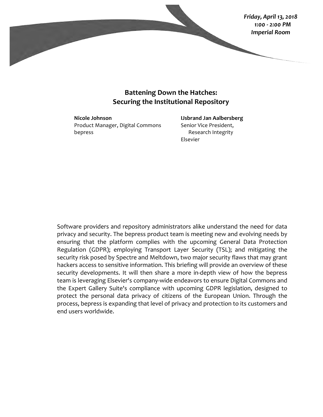

## **Battening Down the Hatches: Securing the Institutional Repository**

**Nicole Johnson** Product Manager, Digital Commons bepress

**IJsbrand Jan Aalbersberg** Senior Vice President, Research Integrity Elsevier

Software providers and repository administrators alike understand the need for data privacy and security. The bepress product team is meeting new and evolving needs by ensuring that the platform complies with the upcoming General Data Protection Regulation (GDPR); employing Transport Layer Security (TSL); and mitigating the security risk posed by Spectre and Meltdown, two major security flaws that may grant hackers access to sensitive information. This briefing will provide an overview of these security developments. It will then share a more in-depth view of how the bepress team is leveraging Elsevier's company-wide endeavors to ensure Digital Commons and the Expert Gallery Suite's compliance with upcoming GDPR legislation, designed to protect the personal data privacy of citizens of the European Union. Through the process, bepress is expanding that level of privacy and protection to its customers and end users worldwide.